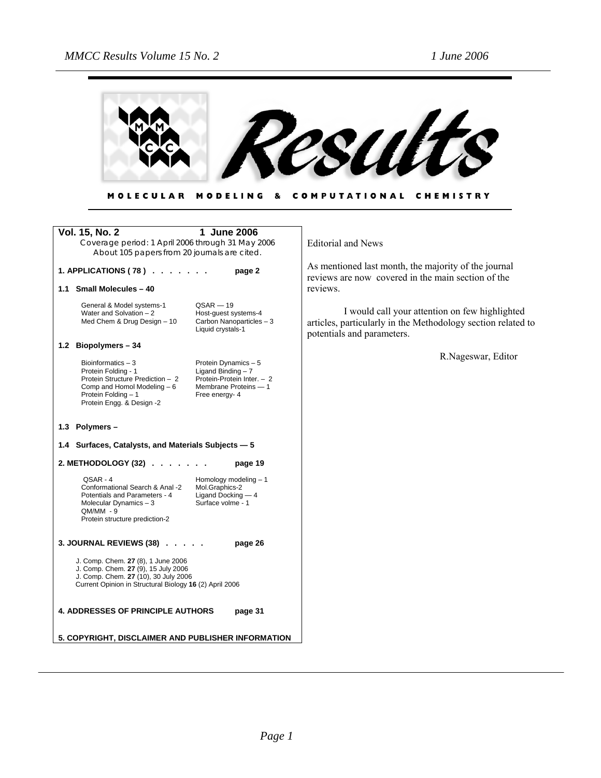

| MOLECULAR MODELING & COMPUTATIONAL CHEMISTRY |  |  |  |
|----------------------------------------------|--|--|--|
|----------------------------------------------|--|--|--|

| <b>Vol. 15, No. 2</b><br>Coverage period: 1 April 2006 through 31 May 2006<br>About 105 papers from 20 journals are cited.                                                   | 1 June 2006                                                                                                          | <b>Editorial and News</b>                                                                                                                    |
|------------------------------------------------------------------------------------------------------------------------------------------------------------------------------|----------------------------------------------------------------------------------------------------------------------|----------------------------------------------------------------------------------------------------------------------------------------------|
| 1. APPLICATIONS (78) $\ldots$ $\ldots$                                                                                                                                       | page 2                                                                                                               | As mentioned last month, the majority of the journal<br>reviews are now covered in the main section of the                                   |
| 1.1 Small Molecules - 40                                                                                                                                                     |                                                                                                                      | reviews.                                                                                                                                     |
| General & Model systems-1<br>Water and Solvation - 2<br>Med Chem & Drug Design - 10                                                                                          | $QSAR - 19$<br>Host-quest systems-4<br>Carbon Nanoparticles - 3<br>Liquid crystals-1                                 | I would call your attention on few highlighted<br>articles, particularly in the Methodology section related to<br>potentials and parameters. |
| 1.2 Biopolymers - 34                                                                                                                                                         |                                                                                                                      |                                                                                                                                              |
| Bioinformatics $-3$<br>Protein Folding - 1<br>Protein Structure Prediction - 2<br>Comp and Homol Modeling - 6<br>Protein Folding - 1<br>Protein Engg. & Design -2            | Protein Dynamics - 5<br>Ligand Binding $-7$<br>Protein-Protein Inter. - 2<br>Membrane Proteins - 1<br>Free energy- 4 | R.Nageswar, Editor                                                                                                                           |
| 1.3 Polymers -                                                                                                                                                               |                                                                                                                      |                                                                                                                                              |
| 1.4 Surfaces, Catalysts, and Materials Subjects - 5                                                                                                                          |                                                                                                                      |                                                                                                                                              |
| 2. METHODOLOGY (32)                                                                                                                                                          | page 19                                                                                                              |                                                                                                                                              |
| OSAR-4<br>Conformational Search & Anal -2<br>Potentials and Parameters - 4<br>Molecular Dynamics $-3$<br>$QM/MM - 9$<br>Protein structure prediction-2                       | Homology modeling - 1<br>Mol.Graphics-2<br>Ligand Docking - 4<br>Surface volme - 1                                   |                                                                                                                                              |
| 3. JOURNAL REVIEWS (38)                                                                                                                                                      | page 26                                                                                                              |                                                                                                                                              |
| J. Comp. Chem. 27 (8), 1 June 2006<br>J. Comp. Chem. 27 (9), 15 July 2006<br>J. Comp. Chem. 27 (10), 30 July 2006<br>Current Opinion in Structural Biology 16 (2) April 2006 |                                                                                                                      |                                                                                                                                              |
| <b>4. ADDRESSES OF PRINCIPLE AUTHORS</b>                                                                                                                                     | page 31                                                                                                              |                                                                                                                                              |
| 5. COPYRIGHT, DISCLAIMER AND PUBLISHER INFORMATION                                                                                                                           |                                                                                                                      |                                                                                                                                              |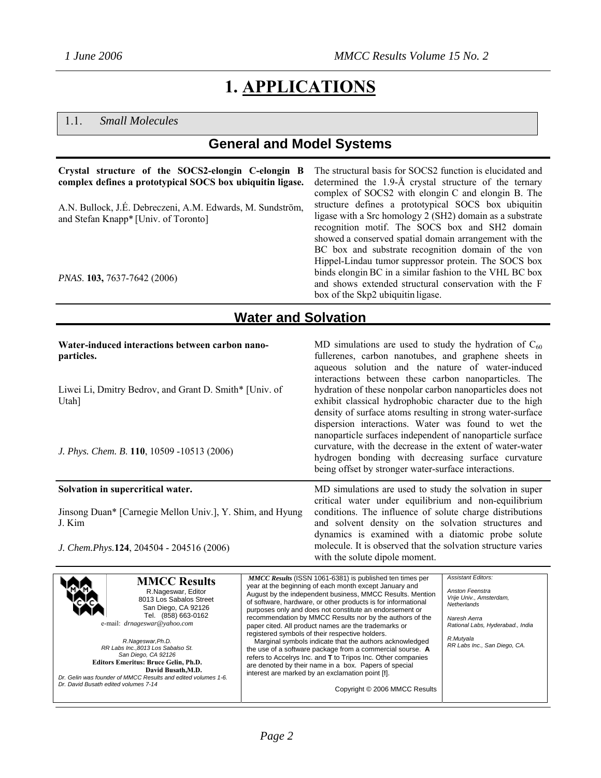# **1. APPLICATIONS**

### 1.1. *Small Molecules*

### **General and Model Systems**

#### **Crystal structure of the SOCS2-elongin C-elongin B complex defines a prototypical SOCS box ubiquitin ligase.**

A.N. Bullock, J.É. Debreczeni, A.M. Edwards, M. Sundström, and Stefan Knapp\* [Univ. of Toronto]

*PNAS*. **103,** 7637-7642 (2006)

The structural basis for SOCS2 function is elucidated and determined the 1.9-Å crystal structure of the ternary complex of SOCS2 with elongin C and elongin B. The structure defines a prototypical SOCS box ubiquitin ligase with a Src homology 2 (SH2) domain as a substrate recognition motif. The SOCS box and SH2 domain showed a conserved spatial domain arrangement with the BC box and substrate recognition domain of the von Hippel-Lindau tumor suppressor protein. The SOCS box binds elongin BC in a similar fashion to the VHL BC box and shows extended structural conservation with the F box of the Skp2 ubiquitin ligase.

### **Water and Solvation**

**Water-induced interactions between carbon nanoparticles.** 

Liwei Li, Dmitry Bedrov, and Grant D. Smith\* [Univ. of Utah]

*J. Phys. Chem. B*. **110**, 10509 -10513 (2006)

#### **Solvation in supercritical water.**

[Jinsong Duan](http://scitation.aip.org/vsearch/servlet/VerityServlet?KEY=ALL&possible1=Duan%2C+Jinsong&possible1zone=author&maxdisp=25&smode=strresults&aqs=true)\* [Carnegie Mellon Univ.], [Y. Shim](http://scitation.aip.org/vsearch/servlet/VerityServlet?KEY=ALL&possible1=Shim%2C+Youngseon&possible1zone=author&maxdisp=25&smode=strresults&aqs=true), and [Hyung](http://scitation.aip.org/vsearch/servlet/VerityServlet?KEY=ALL&possible1=Kim%2C+Hyung+J.&possible1zone=author&maxdisp=25&smode=strresults&aqs=true)  [J. Kim](http://scitation.aip.org/vsearch/servlet/VerityServlet?KEY=ALL&possible1=Kim%2C+Hyung+J.&possible1zone=author&maxdisp=25&smode=strresults&aqs=true)

*J. Chem.Phys.***124**, 204504 - 204516 (2006)

MD simulations are used to study the hydration of  $C_{60}$ fullerenes, carbon nanotubes, and graphene sheets in aqueous solution and the nature of water-induced interactions between these carbon nanoparticles. The hydration of these nonpolar carbon nanoparticles does not exhibit classical hydrophobic character due to the high density of surface atoms resulting in strong water-surface dispersion interactions. Water was found to wet the nanoparticle surfaces independent of nanoparticle surface curvature, with the decrease in the extent of water-water hydrogen bonding with decreasing surface curvature being offset by stronger water-surface interactions.

MD simulations are used to study the solvation in super critical water under equilibrium and non-equilibrium conditions. The influence of solute charge distributions and solvent density on the solvation structures and dynamics is examined with a diatomic probe solute molecule. It is observed that the solvation structure varies with the solute dipole moment.

| <b>MMCC Results</b><br>R.Nageswar, Editor<br>8013 Los Sabalos Street<br>San Diego, CA 92126<br>Tel. (858) 663-0162<br>e-mail: <i>drnageswar@yahoo.com</i><br>R.Nageswar, Ph.D.<br>RR Labs Inc.,8013 Los Sabalso St.<br>San Diego, CA 92126<br><b>Editors Emeritus: Bruce Gelin, Ph.D.</b><br>David Busath, M.D.<br>Dr. Gelin was founder of MMCC Results and edited volumes 1-6. | <b>MMCC Results (ISSN 1061-6381) is published ten times per</b><br>year at the beginning of each month except January and<br>August by the independent business, MMCC Results. Mention<br>of software, hardware, or other products is for informational<br>purposes only and does not constitute an endorsement or<br>recommendation by MMCC Results nor by the authors of the<br>paper cited. All product names are the trademarks or<br>registered symbols of their respective holders.<br>Marginal symbols indicate that the authors acknowledged<br>the use of a software package from a commercial sourse. A<br>refers to Accelrys Inc. and T to Tripos Inc. Other companies<br>are denoted by their name in a box. Papers of special<br>interest are marked by an exclamation point [!]. | <b>Assistant Editors:</b><br>Anston Feenstra<br>Vrije Univ., Amsterdam,<br>Netherlands<br>Naresh Aerra<br>Rational Labs, Hyderabad., India<br>R.Mutyala<br>RR Labs Inc., San Diego, CA. |
|----------------------------------------------------------------------------------------------------------------------------------------------------------------------------------------------------------------------------------------------------------------------------------------------------------------------------------------------------------------------------------|------------------------------------------------------------------------------------------------------------------------------------------------------------------------------------------------------------------------------------------------------------------------------------------------------------------------------------------------------------------------------------------------------------------------------------------------------------------------------------------------------------------------------------------------------------------------------------------------------------------------------------------------------------------------------------------------------------------------------------------------------------------------------------------------|-----------------------------------------------------------------------------------------------------------------------------------------------------------------------------------------|
| Dr. David Busath edited volumes 7-14                                                                                                                                                                                                                                                                                                                                             | Copyright © 2006 MMCC Results                                                                                                                                                                                                                                                                                                                                                                                                                                                                                                                                                                                                                                                                                                                                                                  |                                                                                                                                                                                         |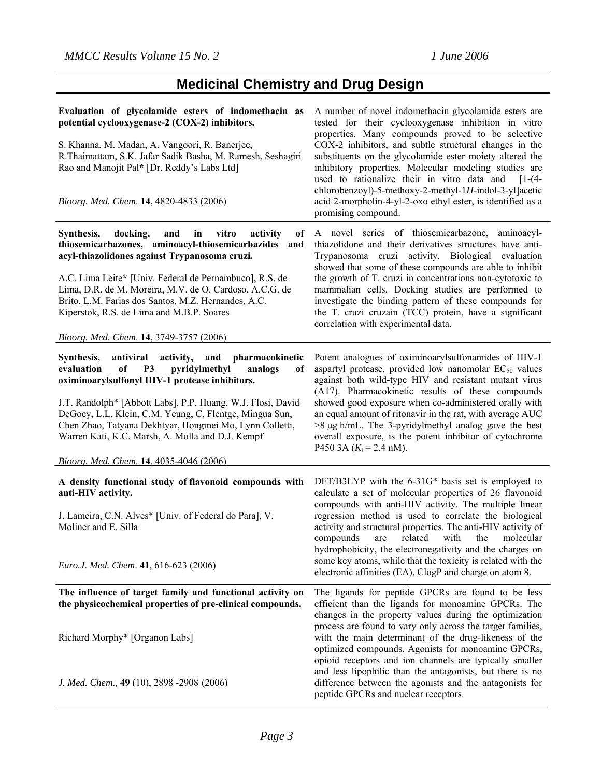# **Medicinal Chemistry and Drug Design**

| Evaluation of glycolamide esters of indomethacin as<br>potential cyclooxygenase-2 (COX-2) inhibitors.<br>S. Khanna, M. Madan, A. Vangoori, R. Banerjee,<br>R.Thaimattam, S.K. Jafar Sadik Basha, M. Ramesh, Seshagiri<br>Rao and Manojit Pal* [Dr. Reddy's Labs Ltd]<br>Bioorg. Med. Chem. 14, 4820-4833 (2006)                                                                                                                                                         | A number of novel indomethacin glycolamide esters are<br>tested for their cyclooxygenase inhibition in vitro<br>properties. Many compounds proved to be selective<br>COX-2 inhibitors, and subtle structural changes in the<br>substituents on the glycolamide ester moiety altered the<br>inhibitory properties. Molecular modeling studies are<br>used to rationalize their in vitro data and<br>$[1-(4-$<br>chlorobenzoyl)-5-methoxy-2-methyl-1H-indol-3-yl]acetic<br>acid 2-morpholin-4-yl-2-oxo ethyl ester, is identified as a<br>promising compound.                 |
|-------------------------------------------------------------------------------------------------------------------------------------------------------------------------------------------------------------------------------------------------------------------------------------------------------------------------------------------------------------------------------------------------------------------------------------------------------------------------|-----------------------------------------------------------------------------------------------------------------------------------------------------------------------------------------------------------------------------------------------------------------------------------------------------------------------------------------------------------------------------------------------------------------------------------------------------------------------------------------------------------------------------------------------------------------------------|
| docking,<br>vitro<br>Synthesis,<br>and<br>in<br>activity<br>of<br>thiosemicarbazones, aminoacyl-thiosemicarbazides and<br>acyl-thiazolidones against Trypanosoma cruzi.<br>A.C. Lima Leite* [Univ. Federal de Pernambuco], R.S. de<br>Lima, D.R. de M. Moreira, M.V. de O. Cardoso, A.C.G. de<br>Brito, L.M. Farias dos Santos, M.Z. Hernandes, A.C.<br>Kiperstok, R.S. de Lima and M.B.P. Soares<br>Bioorg. Med. Chem. 14, 3749-3757 (2006)                            | A novel series of thiosemicarbazone, aminoacyl-<br>thiazolidone and their derivatives structures have anti-<br>Trypanosoma cruzi activity. Biological evaluation<br>showed that some of these compounds are able to inhibit<br>the growth of T. cruzi in concentrations non-cytotoxic to<br>mammalian cells. Docking studies are performed to<br>investigate the binding pattern of these compounds for<br>the T. cruzi cruzain (TCC) protein, have a significant<br>correlation with experimental data.                                                                    |
| antiviral<br>Synthesis,<br>activity,<br>and<br>pharmacokinetic<br>evaluation<br>pyridylmethyl<br>analogs<br>of<br><b>P3</b><br>of<br>oximinoarylsulfonyl HIV-1 protease inhibitors.<br>J.T. Randolph* [Abbott Labs], P.P. Huang, W.J. Flosi, David<br>DeGoey, L.L. Klein, C.M. Yeung, C. Flentge, Mingua Sun,<br>Chen Zhao, Tatyana Dekhtyar, Hongmei Mo, Lynn Colletti,<br>Warren Kati, K.C. Marsh, A. Molla and D.J. Kempf<br>Bioorg. Med. Chem. 14, 4035-4046 (2006) | Potent analogues of oximinoarylsulfonamides of HIV-1<br>aspartyl protease, provided low nanomolar $EC_{50}$ values<br>against both wild-type HIV and resistant mutant virus<br>(A17). Pharmacokinetic results of these compounds<br>showed good exposure when co-administered orally with<br>an equal amount of ritonavir in the rat, with average AUC<br>$>8 \mu g$ h/mL. The 3-pyridylmethyl analog gave the best<br>overall exposure, is the potent inhibitor of cytochrome<br>P450 3A $(K_i = 2.4$ nM).                                                                 |
| A density functional study of flavonoid compounds with<br>anti-HIV activity.<br>J. Lameira, C.N. Alves* [Univ. of Federal do Para], V.<br>Moliner and E. Silla<br>Euro.J. Med. Chem. 41, 616-623 (2006)                                                                                                                                                                                                                                                                 | DFT/B3LYP with the 6-31G* basis set is employed to<br>calculate a set of molecular properties of 26 flavonoid<br>compounds with anti-HIV activity. The multiple linear<br>regression method is used to correlate the biological<br>activity and structural properties. The anti-HIV activity of<br>related<br>compounds<br>with<br>the<br>molecular<br>are<br>hydrophobicity, the electronegativity and the charges on<br>some key atoms, while that the toxicity is related with the<br>electronic affinities (EA), ClogP and charge on atom 8.                            |
| The influence of target family and functional activity on<br>the physicochemical properties of pre-clinical compounds.<br>Richard Morphy* [Organon Labs]<br>J. Med. Chem., 49 (10), 2898 -2908 (2006)                                                                                                                                                                                                                                                                   | The ligands for peptide GPCRs are found to be less<br>efficient than the ligands for monoamine GPCRs. The<br>changes in the property values during the optimization<br>process are found to vary only across the target families,<br>with the main determinant of the drug-likeness of the<br>optimized compounds. Agonists for monoamine GPCRs,<br>opioid receptors and ion channels are typically smaller<br>and less lipophilic than the antagonists, but there is no<br>difference between the agonists and the antagonists for<br>peptide GPCRs and nuclear receptors. |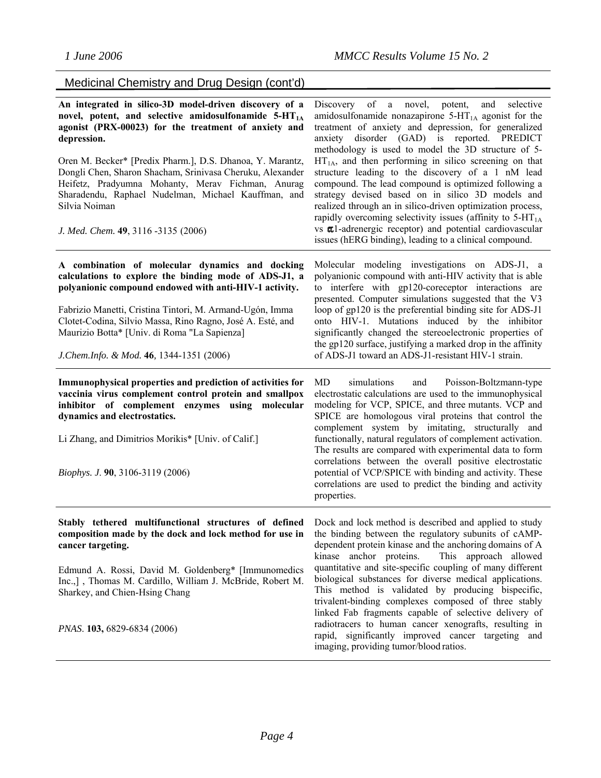| Medicinal Chemistry and Drug Design (cont'd) |  |  |  |
|----------------------------------------------|--|--|--|
|----------------------------------------------|--|--|--|

| An integrated in silico-3D model-driven discovery of a<br>novel, potent, and selective amidosulfonamide 5-HT <sub>1A</sub><br>agonist (PRX-00023) for the treatment of anxiety and<br>depression.<br>Oren M. Becker* [Predix Pharm.], D.S. Dhanoa, Y. Marantz,<br>Dongli Chen, Sharon Shacham, Srinivasa Cheruku, Alexander<br>Heifetz, Pradyumna Mohanty, Merav Fichman, Anurag<br>Sharadendu, Raphael Nudelman, Michael Kauffman, and<br>Silvia Noiman<br>J. Med. Chem. 49, 3116 -3135 (2006) | Discovery of a novel, potent,<br>selective<br>and<br>amidosulfonamide nonazapirone $5-HT1A$ agonist for the<br>treatment of anxiety and depression, for generalized<br>anxiety disorder (GAD) is reported. PREDICT<br>methodology is used to model the 3D structure of 5-<br>$HT1A$ , and then performing in silico screening on that<br>structure leading to the discovery of a 1 nM lead<br>compound. The lead compound is optimized following a<br>strategy devised based on in silico 3D models and<br>realized through an in silico-driven optimization process,<br>rapidly overcoming selectivity issues (affinity to $5-HT1A$ )<br>vs al-adrenergic receptor) and potential cardiovascular<br>issues (hERG binding), leading to a clinical compound. |
|-------------------------------------------------------------------------------------------------------------------------------------------------------------------------------------------------------------------------------------------------------------------------------------------------------------------------------------------------------------------------------------------------------------------------------------------------------------------------------------------------|-------------------------------------------------------------------------------------------------------------------------------------------------------------------------------------------------------------------------------------------------------------------------------------------------------------------------------------------------------------------------------------------------------------------------------------------------------------------------------------------------------------------------------------------------------------------------------------------------------------------------------------------------------------------------------------------------------------------------------------------------------------|
| A combination of molecular dynamics and docking<br>calculations to explore the binding mode of ADS-J1, a<br>polyanionic compound endowed with anti-HIV-1 activity.<br>Fabrizio Manetti, Cristina Tintori, M. Armand-Ugón, Imma<br>Clotet-Codina, Silvio Massa, Rino Ragno, José A. Esté, and<br>Maurizio Botta* [Univ. di Roma "La Sapienza]<br>J. Chem. Info. & Mod. 46, 1344-1351 (2006)                                                                                                      | Molecular modeling investigations on ADS-J1, a<br>polyanionic compound with anti-HIV activity that is able<br>to interfere with gp120-coreceptor interactions are<br>presented. Computer simulations suggested that the V3<br>loop of gp120 is the preferential binding site for ADS-J1<br>onto HIV-1. Mutations induced by the inhibitor<br>significantly changed the stereoelectronic properties of<br>the gp120 surface, justifying a marked drop in the affinity<br>of ADS-J1 toward an ADS-J1-resistant HIV-1 strain.                                                                                                                                                                                                                                  |
| Immunophysical properties and prediction of activities for<br>vaccinia virus complement control protein and smallpox<br>inhibitor of complement enzymes using molecular<br>dynamics and electrostatics.<br>Li Zhang, and Dimitrios Morikis* [Univ. of Calif.]<br><i>Biophys. J.</i> 90, 3106-3119 (2006)                                                                                                                                                                                        | simulations<br>MD<br>and<br>Poisson-Boltzmann-type<br>electrostatic calculations are used to the immunophysical<br>modeling for VCP, SPICE, and three mutants. VCP and<br>SPICE are homologous viral proteins that control the<br>complement system by imitating, structurally and<br>functionally, natural regulators of complement activation.<br>The results are compared with experimental data to form<br>correlations between the overall positive electrostatic<br>potential of VCP/SPICE with binding and activity. These<br>correlations are used to predict the binding and activity<br>properties.                                                                                                                                               |
| Stably tethered multifunctional structures of defined Dock and lock method is described and applied to study<br>composition made by the dock and lock method for use in the binding between the regulatory subunits of cAMP-<br>cancer targeting.<br>Edmund A. Rossi, David M. Goldenberg* [Immunomedics<br>Inc.,], Thomas M. Cardillo, William J. McBride, Robert M.<br>Sharkey, and Chien-Hsing Chang<br>PNAS. 103, 6829-6834 (2006)                                                          | dependent protein kinase and the anchoring domains of A<br>kinase anchor proteins.<br>This approach allowed<br>quantitative and site-specific coupling of many different<br>biological substances for diverse medical applications.<br>This method is validated by producing bispecific,<br>trivalent-binding complexes composed of three stably<br>linked Fab fragments capable of selective delivery of<br>radiotracers to human cancer xenografts, resulting in<br>rapid, significantly improved cancer targeting and<br>imaging, providing tumor/blood ratios.                                                                                                                                                                                          |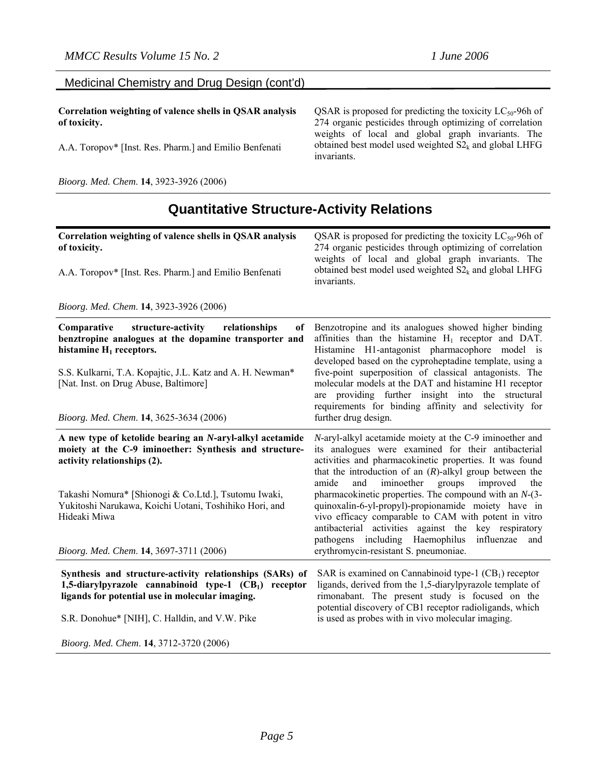| Medicinal Chemistry and Drug Design (cont'd) |  |  |
|----------------------------------------------|--|--|
|----------------------------------------------|--|--|

**Correlation weighting of valence shells in QSAR analysis of toxicity.** 

A.A. Toropov\* [Inst. Res. Pharm.] and Emilio Benfenati

*Bioorg. Med. Chem*. **14**, 3923-3926 (2006)

QSAR is proposed for predicting the toxicity  $LC_{50}$ -96h of 274 organic pesticides through optimizing of correlation weights of local and global graph invariants. The obtained best model used weighted  $S2_k$  and global LHFG invariants.

## **Quantitative Structure-Activity Relations**

| Correlation weighting of valence shells in QSAR analysis<br>of toxicity.<br>A.A. Toropov* [Inst. Res. Pharm.] and Emilio Benfenati                                  | QSAR is proposed for predicting the toxicity $LC_{50}$ -96h of<br>274 organic pesticides through optimizing of correlation<br>weights of local and global graph invariants. The<br>obtained best model used weighted $S2_k$ and global LHFG<br>invariants.                                         |
|---------------------------------------------------------------------------------------------------------------------------------------------------------------------|----------------------------------------------------------------------------------------------------------------------------------------------------------------------------------------------------------------------------------------------------------------------------------------------------|
| Bioorg. Med. Chem. 14, 3923-3926 (2006)                                                                                                                             |                                                                                                                                                                                                                                                                                                    |
| Comparative<br>structure-activity<br>relationships<br><sub>of</sub><br>benztropine analogues at the dopamine transporter and<br>histamine $H_1$ receptors.          | Benzotropine and its analogues showed higher binding<br>affinities than the histamine $H_1$ receptor and DAT.<br>Histamine H1-antagonist pharmacophore model is<br>developed based on the cyproheptadine template, using a                                                                         |
| S.S. Kulkarni, T.A. Kopajtic, J.L. Katz and A. H. Newman*<br>[Nat. Inst. on Drug Abuse, Baltimore]                                                                  | five-point superposition of classical antagonists. The<br>molecular models at the DAT and histamine H1 receptor<br>are providing further insight into the structural<br>requirements for binding affinity and selectivity for                                                                      |
| Bioorg. Med. Chem. 14, 3625-3634 (2006)                                                                                                                             | further drug design.                                                                                                                                                                                                                                                                               |
| A new type of ketolide bearing an N-aryl-alkyl acetamide<br>moiety at the C-9 iminoether: Synthesis and structure-<br>activity relationships (2).                   | N-aryl-alkyl acetamide moiety at the C-9 iminoether and<br>its analogues were examined for their antibacterial<br>activities and pharmacokinetic properties. It was found<br>that the introduction of an $(R)$ -alkyl group between the<br>amide<br>and<br>iminoether<br>groups<br>improved<br>the |
| Takashi Nomura* [Shionogi & Co.Ltd.], Tsutomu Iwaki,<br>Yukitoshi Narukawa, Koichi Uotani, Toshihiko Hori, and<br>Hideaki Miwa                                      | pharmacokinetic properties. The compound with an $N-(3-)$<br>quinoxalin-6-yl-propyl)-propionamide moiety have in<br>vivo efficacy comparable to CAM with potent in vitro<br>antibacterial activities against the key respiratory<br>including Haemophilus<br>pathogens<br>influenzae<br>and        |
| Bioorg. Med. Chem. 14, 3697-3711 (2006)                                                                                                                             | erythromycin-resistant S. pneumoniae.                                                                                                                                                                                                                                                              |
| Synthesis and structure-activity relationships (SARs) of<br>1,5-diarylpyrazole cannabinoid type-1 (CB1) receptor<br>ligands for potential use in molecular imaging. | SAR is examined on Cannabinoid type-1 $(CB1)$ receptor<br>ligands, derived from the 1,5-diarylpyrazole template of<br>rimonabant. The present study is focused on the<br>potential discovery of CB1 receptor radioligands, which                                                                   |
| S.R. Donohue* [NIH], C. Halldin, and V.W. Pike<br>Bioorg. Med. Chem. 14, 3712-3720 (2006)                                                                           | is used as probes with in vivo molecular imaging.                                                                                                                                                                                                                                                  |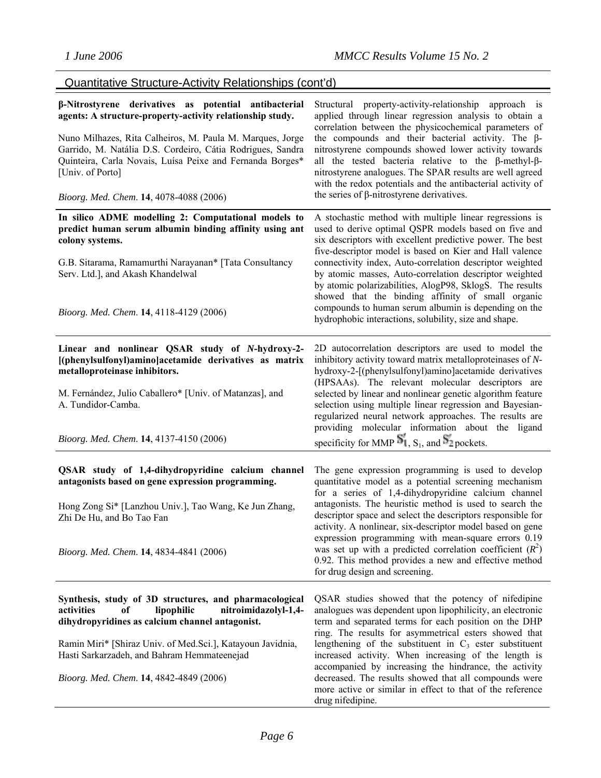| β-Nitrostyrene derivatives as potential antibacterial<br>agents: A structure-property-activity relationship study.<br>Nuno Milhazes, Rita Calheiros, M. Paula M. Marques, Jorge<br>Garrido, M. Natália D.S. Cordeiro, Cátia Rodrigues, Sandra<br>Quinteira, Carla Novais, Luísa Peixe and Fernanda Borges*<br>[Univ. of Porto]<br>Bioorg. Med. Chem. 14, 4078-4088 (2006) | Structural property-activity-relationship approach is<br>applied through linear regression analysis to obtain a<br>correlation between the physicochemical parameters of<br>the compounds and their bacterial activity. The $\beta$ -<br>nitrostyrene compounds showed lower activity towards<br>all the tested bacteria relative to the $\beta$ -methyl- $\beta$ -<br>nitrostyrene analogues. The SPAR results are well agreed<br>with the redox potentials and the antibacterial activity of<br>the series of $\beta$ -nitrostyrene derivatives.                                              |
|---------------------------------------------------------------------------------------------------------------------------------------------------------------------------------------------------------------------------------------------------------------------------------------------------------------------------------------------------------------------------|-------------------------------------------------------------------------------------------------------------------------------------------------------------------------------------------------------------------------------------------------------------------------------------------------------------------------------------------------------------------------------------------------------------------------------------------------------------------------------------------------------------------------------------------------------------------------------------------------|
| In silico ADME modelling 2: Computational models to<br>predict human serum albumin binding affinity using ant<br>colony systems.<br>G.B. Sitarama, Ramamurthi Narayanan* [Tata Consultancy<br>Serv. Ltd.], and Akash Khandelwal<br>Bioorg. Med. Chem. 14, 4118-4129 (2006)                                                                                                | A stochastic method with multiple linear regressions is<br>used to derive optimal QSPR models based on five and<br>six descriptors with excellent predictive power. The best<br>five-descriptor model is based on Kier and Hall valence<br>connectivity index, Auto-correlation descriptor weighted<br>by atomic masses, Auto-correlation descriptor weighted<br>by atomic polarizabilities, AlogP98, SklogS. The results<br>showed that the binding affinity of small organic<br>compounds to human serum albumin is depending on the<br>hydrophobic interactions, solubility, size and shape. |
| Linear and nonlinear QSAR study of N-hydroxy-2-<br>[(phenylsulfonyl)amino]acetamide derivatives as matrix<br>metalloproteinase inhibitors.<br>M. Fernández, Julio Caballero* [Univ. of Matanzas], and<br>A. Tundidor-Camba.<br>Bioorg. Med. Chem. 14, 4137-4150 (2006)                                                                                                    | 2D autocorrelation descriptors are used to model the<br>inhibitory activity toward matrix metalloproteinases of N-<br>hydroxy-2-[(phenylsulfonyl)amino]acetamide derivatives<br>(HPSAAs). The relevant molecular descriptors are<br>selected by linear and nonlinear genetic algorithm feature<br>selection using multiple linear regression and Bayesian-<br>regularized neural network approaches. The results are<br>providing molecular information about the ligand<br>specificity for MMP $S_1$ , $S_1$ , and $S_2$ pockets.                                                              |
| QSAR study of 1,4-dihydropyridine calcium channel<br>antagonists based on gene expression programming.<br>Hong Zong Si* [Lanzhou Univ.], Tao Wang, Ke Jun Zhang,<br>Zhi De Hu, and Bo Tao Fan<br>Bioorg. Med. Chem. 14, 4834-4841 (2006)                                                                                                                                  | The gene expression programming is used to develop<br>quantitative model as a potential screening mechanism<br>for a series of 1,4-dihydropyridine calcium channel<br>antagonists. The heuristic method is used to search the<br>descriptor space and select the descriptors responsible for<br>activity. A nonlinear, six-descriptor model based on gene<br>expression programming with mean-square errors 0.19<br>was set up with a predicted correlation coefficient $(R^2)$<br>0.92. This method provides a new and effective method<br>for drug design and screening.                      |
| Synthesis, study of 3D structures, and pharmacological<br>nitroimidazolyl-1,4-<br>activities<br>lipophilic<br>оf<br>dihydropyridines as calcium channel antagonist.<br>Ramin Miri* [Shiraz Univ. of Med.Sci.], Katayoun Javidnia,<br>Hasti Sarkarzadeh, and Bahram Hemmateenejad<br>Bioorg. Med. Chem. 14, 4842-4849 (2006)                                               | QSAR studies showed that the potency of nifedipine<br>analogues was dependent upon lipophilicity, an electronic<br>term and separated terms for each position on the DHP<br>ring. The results for asymmetrical esters showed that<br>lengthening of the substituent in $C_3$ ester substituent<br>increased activity. When increasing of the length is<br>accompanied by increasing the hindrance, the activity<br>decreased. The results showed that all compounds were<br>more active or similar in effect to that of the reference<br>drug nifedipine.                                       |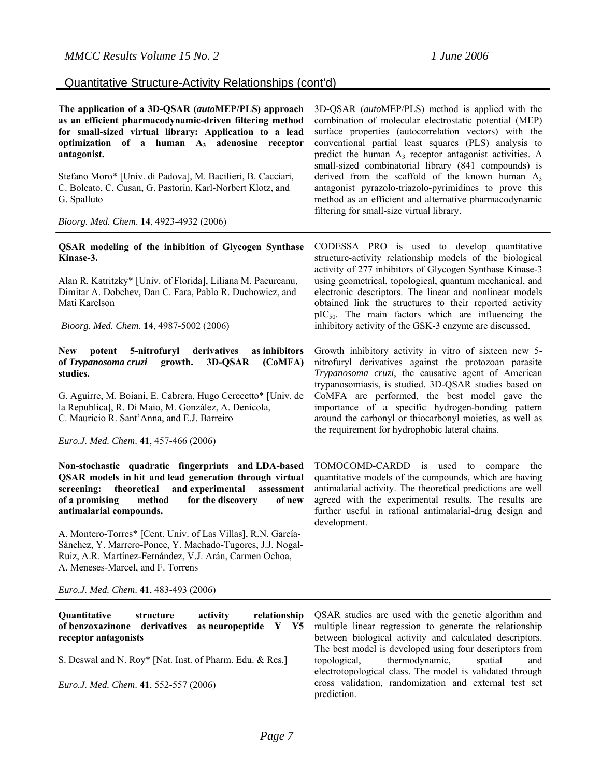**The application of a 3D-QSAR (***auto***MEP/PLS) approach as an efficient pharmacodynamic-driven filtering method for small-sized virtual library: Application to a lead**  optimization of a human A<sub>3</sub> adenosine receptor **antagonist.** 

Stefano Moro\* [Univ. di Padova], M. Bacilieri, B. Cacciari, C. Bolcato, C. Cusan, G. Pastorin, Karl-Norbert Klotz, and G. Spalluto

*Bioorg. Med. Chem*. **14**, 4923-4932 (2006)

3D-QSAR (*auto*MEP/PLS) method is applied with the combination of molecular electrostatic potential (MEP) surface properties (autocorrelation vectors) with the conventional partial least squares (PLS) analysis to predict the human  $A_3$  receptor antagonist activities. A small-sized combinatorial library (841 compounds) is derived from the scaffold of the known human  $A_3$ antagonist pyrazolo-triazolo-pyrimidines to prove this method as an efficient and alternative pharmacodynamic filtering for small-size virtual library.

quantitative models of the compounds, which are having antimalarial activity. The theoretical predictions are well agreed with the experimental results. The results are further useful in rational antimalarial-drug design and

| <b>QSAR</b> modeling of the inhibition of Glycogen Synthase<br>Kinase-3.<br>Alan R. Katritzky* [Univ. of Florida], Liliana M. Pacureanu,<br>Dimitar A. Dobchev, Dan C. Fara, Pablo R. Duchowicz, and<br>Mati Karelson<br><i>Bioorg. Med. Chem.</i> <b>14</b> , 4987-5002 (2006)                      | CODESSA PRO is used to develop quantitative<br>structure-activity relationship models of the biological<br>activity of 277 inhibitors of Glycogen Synthase Kinase-3<br>using geometrical, topological, quantum mechanical, and<br>electronic descriptors. The linear and nonlinear models<br>obtained link the structures to their reported activity<br>$pIC_{50}$ . The main factors which are influencing the<br>inhibitory activity of the GSK-3 enzyme are discussed. |
|------------------------------------------------------------------------------------------------------------------------------------------------------------------------------------------------------------------------------------------------------------------------------------------------------|---------------------------------------------------------------------------------------------------------------------------------------------------------------------------------------------------------------------------------------------------------------------------------------------------------------------------------------------------------------------------------------------------------------------------------------------------------------------------|
| potent 5-nitrofuryl derivatives<br>as inhibitors<br><b>New</b><br>of Trypanosoma cruzi growth. 3D-QSAR<br>(CoMFA)<br>studies.<br>G. Aguirre, M. Boiani, E. Cabrera, Hugo Cerecetto* [Univ. de<br>la Republica], R. Di Maio, M. González, A. Denicola,<br>C. Mauricio R. Sant'Anna, and E.J. Barreiro | Growth inhibitory activity in vitro of sixteen new 5-<br>nitrofuryl derivatives against the protozoan parasite<br>Trypanosoma cruzi, the causative agent of American<br>trypanosomiasis, is studied. 3D-QSAR studies based on<br>CoMFA are performed, the best model gave the<br>importance of a specific hydrogen-bonding pattern<br>around the carbonyl or thiocarbonyl moieties, as well as                                                                            |
| <i>Euro.J. Med. Chem.</i> 41, 457-466 (2006)                                                                                                                                                                                                                                                         | the requirement for hydrophobic lateral chains.                                                                                                                                                                                                                                                                                                                                                                                                                           |
| Non-stochastic quadratic fingerprints and LDA-based                                                                                                                                                                                                                                                  | TOMOCOMD-CARDD is<br>used to<br>the<br>compare                                                                                                                                                                                                                                                                                                                                                                                                                            |

**QSAR models in hit and lead generation through virtual screening: theoretical and experimental assessment of a promising method for the discovery of new antimalarial compounds.** 

A. Montero-Torres\* [Cent. Univ. of Las Villas], R.N. García-Sánchez, Y. Marrero-Ponce, Y. Machado-Tugores, J.J. Nogal-Ruiz, A.R. Martínez-Fernández, V.J. Arán, Carmen Ochoa, A. Meneses-Marcel, and F. Torrens

*Euro.J. Med. Chem*. **41**, 483-493 (2006)

| activity<br><b>Ouantitative</b><br>structure<br>of benzoxazinone derivatives | relationship QSAR studies are used with the genetic algorithm and<br>as neuropeptide $Y$ $Y5$ multiple linear regression to generate the relationship |
|------------------------------------------------------------------------------|-------------------------------------------------------------------------------------------------------------------------------------------------------|
| receptor antagonists                                                         | between biological activity and calculated descriptors.                                                                                               |
|                                                                              | The best model is developed using four descriptors from                                                                                               |
| S. Deswal and N. Roy* [Nat. Inst. of Pharm. Edu. & Res.]                     | topological, thermodynamic,<br>spatial and                                                                                                            |
| Euro.J. Med. Chem. 41, 552-557 (2006)                                        | electrotopological class. The model is validated through<br>cross validation, randomization and external test set<br>prediction.                      |

development.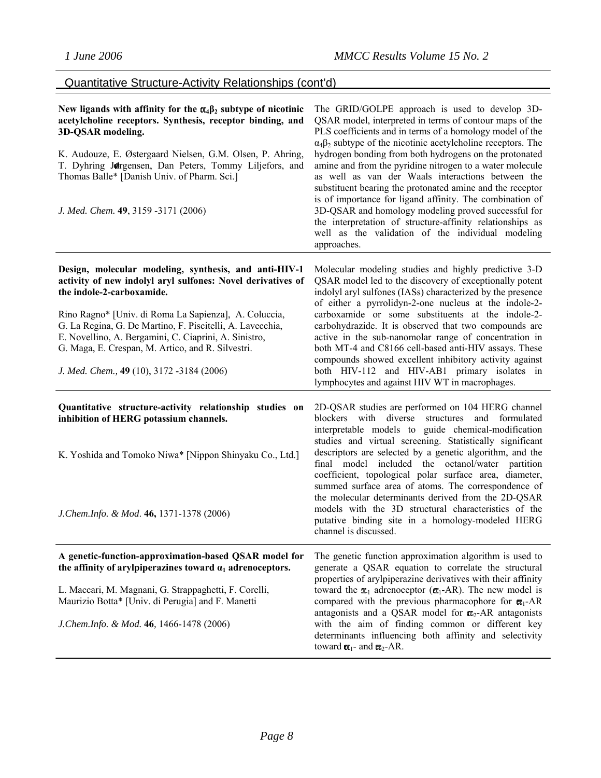| New ligands with affinity for the $\alpha_4\beta_2$ subtype of nicotinic<br>acetylcholine receptors. Synthesis, receptor binding, and<br>3D-QSAR modeling.<br>K. Audouze, E. Østergaard Nielsen, G.M. Olsen, P. Ahring,<br>T. Dyhring Jorgensen, Dan Peters, Tommy Liljefors, and<br>Thomas Balle* [Danish Univ. of Pharm. Sci.]<br>J. Med. Chem. 49, 3159 -3171 (2006)                                                            | The GRID/GOLPE approach is used to develop 3D-<br>QSAR model, interpreted in terms of contour maps of the<br>PLS coefficients and in terms of a homology model of the<br>$\alpha_4\beta_2$ subtype of the nicotinic acetylcholine receptors. The<br>hydrogen bonding from both hydrogens on the protonated<br>amine and from the pyridine nitrogen to a water molecule<br>as well as van der Waals interactions between the<br>substituent bearing the protonated amine and the receptor<br>is of importance for ligand affinity. The combination of<br>3D-QSAR and homology modeling proved successful for<br>the interpretation of structure-affinity relationships as<br>well as the validation of the individual modeling<br>approaches. |
|------------------------------------------------------------------------------------------------------------------------------------------------------------------------------------------------------------------------------------------------------------------------------------------------------------------------------------------------------------------------------------------------------------------------------------|----------------------------------------------------------------------------------------------------------------------------------------------------------------------------------------------------------------------------------------------------------------------------------------------------------------------------------------------------------------------------------------------------------------------------------------------------------------------------------------------------------------------------------------------------------------------------------------------------------------------------------------------------------------------------------------------------------------------------------------------|
| Design, molecular modeling, synthesis, and anti-HIV-1<br>activity of new indolyl aryl sulfones: Novel derivatives of<br>the indole-2-carboxamide.<br>Rino Ragno* [Univ. di Roma La Sapienza], A. Coluccia,<br>G. La Regina, G. De Martino, F. Piscitelli, A. Lavecchia,<br>E. Novellino, A. Bergamini, C. Ciaprini, A. Sinistro,<br>G. Maga, E. Crespan, M. Artico, and R. Silvestri.<br>J. Med. Chem., 49 (10), 3172 -3184 (2006) | Molecular modeling studies and highly predictive 3-D<br>QSAR model led to the discovery of exceptionally potent<br>indolyl aryl sulfones (IASs) characterized by the presence<br>of either a pyrrolidyn-2-one nucleus at the indole-2-<br>carboxamide or some substituents at the indole-2-<br>carbohydrazide. It is observed that two compounds are<br>active in the sub-nanomolar range of concentration in<br>both MT-4 and C8166 cell-based anti-HIV assays. These<br>compounds showed excellent inhibitory activity against<br>both HIV-112 and HIV-AB1 primary isolates in<br>lymphocytes and against HIV WT in macrophages.                                                                                                           |
| Quantitative structure-activity relationship studies on<br>inhibition of HERG potassium channels.<br>K. Yoshida and Tomoko Niwa* [Nippon Shinyaku Co., Ltd.]<br>J.Chem.Info. & Mod. 46, 1371-1378 (2006)                                                                                                                                                                                                                           | 2D-QSAR studies are performed on 104 HERG channel<br>blockers with diverse<br>structures and formulated<br>interpretable models to guide chemical-modification<br>studies and virtual screening. Statistically significant<br>descriptors are selected by a genetic algorithm, and the<br>final model included the octanol/water partition<br>coefficient, topological polar surface area, diameter,<br>summed surface area of atoms. The correspondence of<br>the molecular determinants derived from the 2D-QSAR<br>models with the 3D structural characteristics of the<br>putative binding site in a homology-modeled HERG                                                                                                               |
| A genetic-function-approximation-based QSAR model for<br>the affinity of arylpiperazines toward $\alpha_1$ adrenoceptors.<br>L. Maccari, M. Magnani, G. Strappaghetti, F. Corelli,<br>Maurizio Botta* [Univ. di Perugia] and F. Manetti<br>J.Chem.Info. & Mod. 46, 1466-1478 (2006)                                                                                                                                                | channel is discussed.<br>The genetic function approximation algorithm is used to<br>generate a QSAR equation to correlate the structural<br>properties of arylpiperazine derivatives with their affinity<br>toward the $x_1$ adrenoceptor ( $\alpha_1$ -AR). The new model is<br>compared with the previous pharmacophore for $\alpha_1$ -AR<br>antagonists and a QSAR model for $\alpha_2$ -AR antagonists<br>with the aim of finding common or different key<br>determinants influencing both affinity and selectivity<br>toward $\alpha_1$ - and $\alpha_2$ -AR.                                                                                                                                                                          |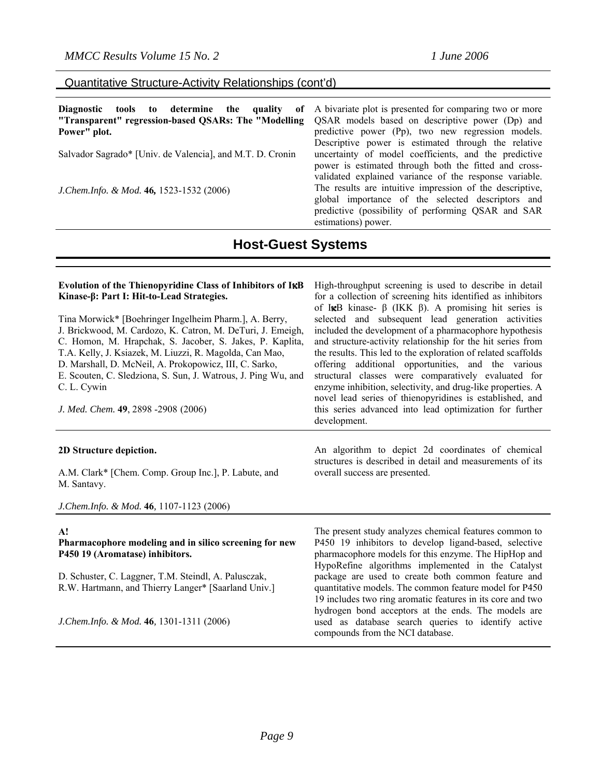| Diagnostic tools to determine the quality of<br>"Transparent" regression-based QSARs: The "Modelling | A bivariate plot is presented for comparing two or more<br>QSAR models based on descriptive power (Dp) and                                                                                 |
|------------------------------------------------------------------------------------------------------|--------------------------------------------------------------------------------------------------------------------------------------------------------------------------------------------|
| Power" plot.                                                                                         | predictive power (Pp), two new regression models.<br>Descriptive power is estimated through the relative                                                                                   |
| Salvador Sagrado* [Univ. de Valencia], and M.T. D. Cronin                                            | uncertainty of model coefficients, and the predictive<br>power is estimated through both the fitted and cross-<br>validated explained variance of the response variable.                   |
| J.Chem.Info. & Mod. 46, 1523-1532 (2006)                                                             | The results are intuitive impression of the descriptive,<br>global importance of the selected descriptors and<br>predictive (possibility of performing QSAR and SAR<br>estimations) power. |

### **Host-Guest Systems**

#### Evolution of the Thienopyridine Class of Inhibitors of I<sub>K</sub>B **Kinase-β: Part I: Hit-to-Lead Strategies.**

Tina Morwick\* [Boehringer Ingelheim Pharm.], A. Berry, J. Brickwood, M. Cardozo, K. Catron, M. DeTuri, J. Emeigh, C. Homon, M. Hrapchak, S. Jacober, S. Jakes, P. Kaplita, T.A. Kelly, J. Ksiazek, M. Liuzzi, R. Magolda, Can Mao, D. Marshall, D. McNeil, A. Prokopowicz, III, C. Sarko, E. Scouten, C. Sledziona, S. Sun, J. Watrous, J. Ping Wu, and C. L. Cywin

*J. Med. Chem.* **49**, 2898 -2908 (2006)

#### **2D Structure depiction.**

A.M. Clark\* [Chem. Comp. Group Inc.], P. Labute, and M. Santavy.

*J.Chem.Info. & Mod.* **46***,* 1107-1123 (2006)

#### **A!**

**Pharmacophore modeling and in silico screening for new P450 19 (Aromatase) inhibitors.** 

D. Schuster, C. Laggner, T.M. Steindl, A. Palusczak, R.W. Hartmann, and Thierry Langer\* [Saarland Univ.]

*J.Chem.Info. & Mod.* **46***,* 1301-1311 (2006)

High-throughput screening is used to describe in detail for a collection of screening hits identified as inhibitors of I<sub>K</sub>B kinase- β (IKK β). A promising hit series is selected and subsequent lead generation activities included the development of a pharmacophore hypothesis and structure-activity relationship for the hit series from the results. This led to the exploration of related scaffolds offering additional opportunities, and the various structural classes were comparatively evaluated for enzyme inhibition, selectivity, and drug-like properties. A novel lead series of thienopyridines is established, and this series advanced into lead optimization for further development.

An algorithm to depict 2d coordinates of chemical structures is described in detail and measurements of its overall success are presented.

The present study analyzes chemical features common to P450 19 inhibitors to develop ligand-based, selective pharmacophore models for this enzyme. The HipHop and HypoRefine algorithms implemented in the Catalyst package are used to create both common feature and quantitative models. The common feature model for P450 19 includes two ring aromatic features in its core and two hydrogen bond acceptors at the ends. The models are used as database search queries to identify active compounds from the NCI database.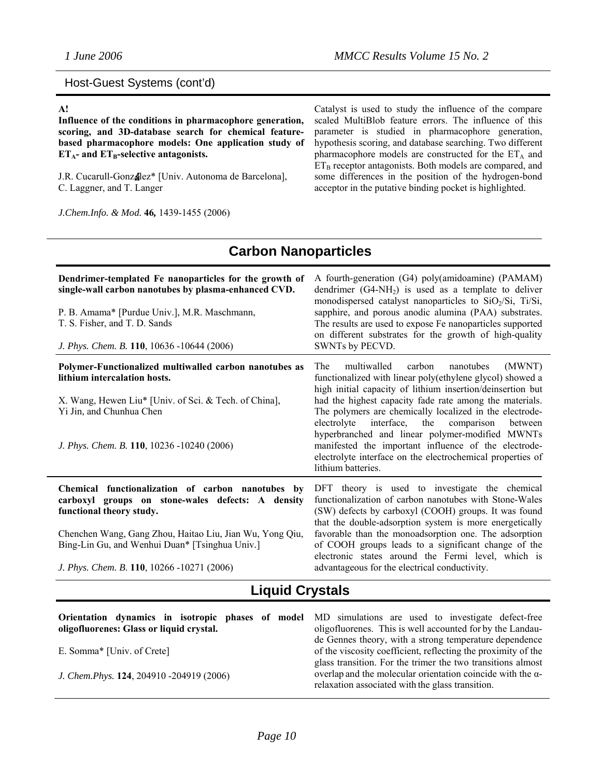### Host-Guest Systems (cont'd)

### **A!**

**Influence of the conditions in pharmacophore generation, scoring, and 3D-database search for chemical featurebased pharmacophore models: One application study of**   $ET_A$ - and  $ET_B$ -selective antagonists.

J.R. Cucarull-Gonzalez\* [Univ. Autonoma de Barcelona], C. Laggner, and T. Langer

*J.Chem.Info. & Mod.* **46***,* 1439-1455 (2006)

Catalyst is used to study the influence of the compare scaled MultiBlob feature errors. The influence of this parameter is studied in pharmacophore generation, hypothesis scoring, and database searching. Two different pharmacophore models are constructed for the  $ET_A$  and  $ET_B$  receptor antagonists. Both models are compared, and some differences in the position of the hydrogen-bond acceptor in the putative binding pocket is highlighted.

#### **Dendrimer-templated Fe nanoparticles for the growth of single-wall carbon nanotubes by plasma-enhanced CVD.**  P. B. Amama\* [Purdue Univ.], M.R. Maschmann, T. S. Fisher, and T. D. Sands *J. Phys. Chem. B.* **110**, 10636 -10644 (2006) A fourth-generation (G4) poly(amidoamine) (PAMAM) dendrimer  $(G4-NH<sub>2</sub>)$  is used as a template to deliver monodispersed catalyst nanoparticles to  $SiO<sub>2</sub>/Si$ , Ti/Si, sapphire, and porous anodic alumina (PAA) substrates. The results are used to expose Fe nanoparticles supported on different substrates for the growth of high-quality SWNTs by PECVD. **Polymer-Functionalized multiwalled carbon nanotubes as lithium intercalation hosts.**  X. Wang, Hewen Liu\* [Univ. of Sci. & Tech. of China], Yi Jin, and Chunhua Chen *J. Phys. Chem. B.* **110**, 10236 -10240 (2006) The multiwalled carbon nanotubes (MWNT) functionalized with linear poly(ethylene glycol) showed a high initial capacity of lithium insertion/deinsertion but had the highest capacity fade rate among the materials. The polymers are chemically localized in the electrodeelectrolyte interface, the comparison between hyperbranched and linear polymer-modified MWNTs manifested the important influence of the electrodeelectrolyte interface on the electrochemical properties of lithium batteries. **Chemical functionalization of carbon nanotubes by carboxyl groups on stone-wales defects: A density functional theory study.**  Chenchen Wang, Gang Zhou, Haitao Liu, Jian Wu, Yong Qiu, Bing-Lin Gu, and Wenhui Duan\* [Tsinghua Univ*.*] *J. Phys. Chem. B*. **110**, 10266 -10271 (2006) DFT theory is used to investigate the chemical functionalization of carbon nanotubes with Stone-Wales (SW) defects by carboxyl (COOH) groups. It was found that the double-adsorption system is more energetically favorable than the monoadsorption one. The adsorption of COOH groups leads to a significant change of the electronic states around the Fermi level, which is advantageous for the electrical conductivity.

### **Liquid Crystals**

| Orientation dynamics in isotropic phases of model MD simulations are used to investigate defect-free<br>oligofluorenes: Glass or liquid crystal. | oligofluorenes. This is well accounted for by the Landau-                                                                                                                              |
|--------------------------------------------------------------------------------------------------------------------------------------------------|----------------------------------------------------------------------------------------------------------------------------------------------------------------------------------------|
| E. Somma* [Univ. of Crete]                                                                                                                       | de Gennes theory, with a strong temperature dependence<br>of the viscosity coefficient, reflecting the proximity of the<br>glass transition. For the trimer the two transitions almost |
| J. Chem. Phys. 124, 204910 -204919 (2006)                                                                                                        | overlap and the molecular orientation coincide with the $\alpha$ -<br>relaxation associated with the glass transition.                                                                 |

# **Carbon Nanoparticles**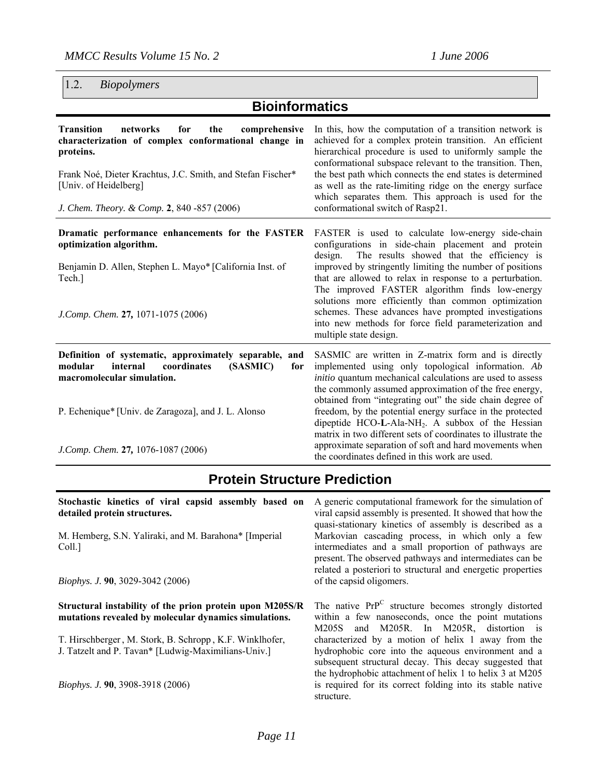1.2. *Biopolymers* 

# **Bioinformatics**

| <b>Transition</b><br>for<br>networks<br>the<br>comprehensive<br>characterization of complex conformational change in<br>proteins.<br>Frank Noé, Dieter Krachtus, J.C. Smith, and Stefan Fischer*<br>[Univ. of Heidelberg]<br>J. Chem. Theory. & Comp. 2, 840 - 857 (2006) | In this, how the computation of a transition network is<br>achieved for a complex protein transition. An efficient<br>hierarchical procedure is used to uniformly sample the<br>conformational subspace relevant to the transition. Then,<br>the best path which connects the end states is determined<br>as well as the rate-limiting ridge on the energy surface<br>which separates them. This approach is used for the<br>conformational switch of Rasp21.                                                                               |
|---------------------------------------------------------------------------------------------------------------------------------------------------------------------------------------------------------------------------------------------------------------------------|---------------------------------------------------------------------------------------------------------------------------------------------------------------------------------------------------------------------------------------------------------------------------------------------------------------------------------------------------------------------------------------------------------------------------------------------------------------------------------------------------------------------------------------------|
| Dramatic performance enhancements for the FASTER<br>optimization algorithm.<br>Benjamin D. Allen, Stephen L. Mayo* [California Inst. of<br>Tech.]<br>J.Comp. Chem. 27, 1071-1075 (2006)                                                                                   | FASTER is used to calculate low-energy side-chain<br>configurations in side-chain placement and protein<br>The results showed that the efficiency is<br>design.<br>improved by stringently limiting the number of positions<br>that are allowed to relax in response to a perturbation.<br>The improved FASTER algorithm finds low-energy<br>solutions more efficiently than common optimization<br>schemes. These advances have prompted investigations<br>into new methods for force field parameterization and<br>multiple state design. |
| Definition of systematic, approximately separable, and<br>internal<br>coordinates<br>(SASMIC)<br>modular<br>for<br>macromolecular simulation.<br>P. Echenique* [Univ. de Zaragoza], and J. L. Alonso                                                                      | SASMIC are written in Z-matrix form and is directly<br>implemented using only topological information. Ab<br><i>initio</i> quantum mechanical calculations are used to assess<br>the commonly assumed approximation of the free energy,<br>obtained from "integrating out" the side chain degree of<br>freedom, by the potential energy surface in the protected<br>dipeptide HCO-L-Ala-NH <sub>2</sub> . A subbox of the Hessian<br>matrix in two different sets of coordinates to illustrate the                                          |
| J.Comp. Chem. 27, 1076-1087 (2006)                                                                                                                                                                                                                                        | approximate separation of soft and hard movements when<br>the coordinates defined in this work are used.                                                                                                                                                                                                                                                                                                                                                                                                                                    |

# **Protein Structure Prediction**

| Stochastic kinetics of viral capsid assembly based on<br>detailed protein structures.<br>M. Hemberg, S.N. Yaliraki, and M. Barahona* [Imperial]<br>Coll.]<br><i>Biophys. J.</i> 90, 3029-3042 (2006) | A generic computational framework for the simulation of<br>viral capsid assembly is presented. It showed that how the<br>quasi-stationary kinetics of assembly is described as a<br>Markovian cascading process, in which only a few<br>intermediates and a small proportion of pathways are<br>present. The observed pathways and intermediates can be<br>related a posteriori to structural and energetic properties<br>of the capsid oligomers. |
|------------------------------------------------------------------------------------------------------------------------------------------------------------------------------------------------------|----------------------------------------------------------------------------------------------------------------------------------------------------------------------------------------------------------------------------------------------------------------------------------------------------------------------------------------------------------------------------------------------------------------------------------------------------|
| Structural instability of the prion protein upon M205S/R<br>mutations revealed by molecular dynamics simulations.                                                                                    | The native PrP <sup>C</sup> structure becomes strongly distorted<br>within a few nanoseconds, once the point mutations<br>M205S and M205R. In M205R, distortion is                                                                                                                                                                                                                                                                                 |
| T. Hirschberger, M. Stork, B. Schropp, K.F. Winklhofer,<br>J. Tatzelt and P. Tavan* [Ludwig-Maximilians-Univ.]                                                                                       | characterized by a motion of helix 1 away from the<br>hydrophobic core into the aqueous environment and a<br>subsequent structural decay. This decay suggested that                                                                                                                                                                                                                                                                                |
| Biophys. J. 90, 3908-3918 (2006)                                                                                                                                                                     | the hydrophobic attachment of helix 1 to helix 3 at M205<br>is required for its correct folding into its stable native<br>structure.                                                                                                                                                                                                                                                                                                               |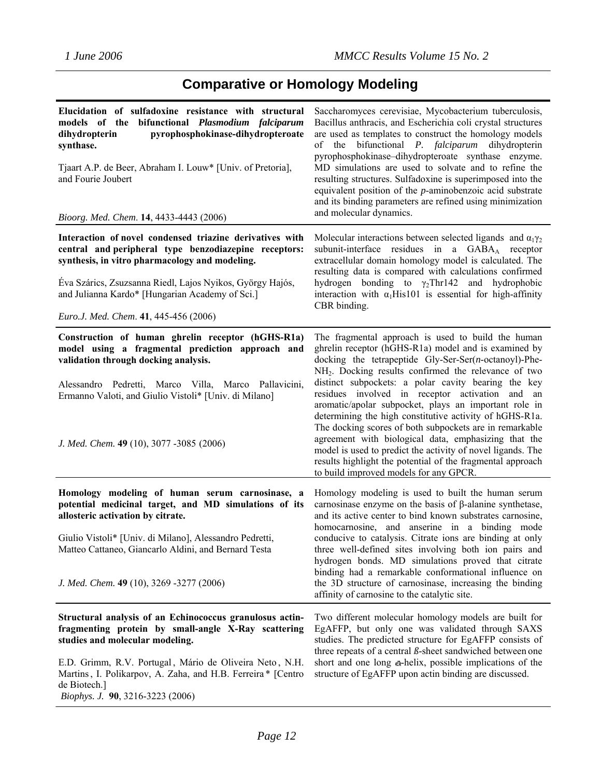# **Comparative or Homology Modeling**

| Elucidation of sulfadoxine resistance with structural<br>bifunctional Plasmodium falciparum<br>models of the<br>pyrophosphokinase-dihydropteroate<br>dihydropterin<br>synthase.<br>Tjaart A.P. de Beer, Abraham I. Louw* [Univ. of Pretoria],<br>and Fourie Joubert<br>Bioorg. Med. Chem. 14, 4433-4443 (2006)                    | Saccharomyces cerevisiae, Mycobacterium tuberculosis,<br>Bacillus anthracis, and Escherichia coli crystal structures<br>are used as templates to construct the homology models<br>of the bifunctional <i>P. falciparum</i> dihydropterin<br>pyrophosphokinase-dihydropteroate synthase enzyme.<br>MD simulations are used to solvate and to refine the<br>resulting structures. Sulfadoxine is superimposed into the<br>equivalent position of the $p$ -aminobenzoic acid substrate<br>and its binding parameters are refined using minimization<br>and molecular dynamics.                                                                                                                                                                                         |
|-----------------------------------------------------------------------------------------------------------------------------------------------------------------------------------------------------------------------------------------------------------------------------------------------------------------------------------|---------------------------------------------------------------------------------------------------------------------------------------------------------------------------------------------------------------------------------------------------------------------------------------------------------------------------------------------------------------------------------------------------------------------------------------------------------------------------------------------------------------------------------------------------------------------------------------------------------------------------------------------------------------------------------------------------------------------------------------------------------------------|
| Interaction of novel condensed triazine derivatives with<br>central and peripheral type benzodiazepine receptors:<br>synthesis, in vitro pharmacology and modeling.<br>Eva Szárics, Zsuzsanna Riedl, Lajos Nyikos, György Hajós,<br>and Julianna Kardo* [Hungarian Academy of Sci.]<br>Euro.J. Med. Chem. 41, 445-456 (2006)      | Molecular interactions between selected ligands and $\alpha_1 \gamma_2$<br>subunit-interface residues in a GABA <sub>A</sub> receptor<br>extracellular domain homology model is calculated. The<br>resulting data is compared with calculations confirmed<br>hydrogen bonding to $\gamma_2$ Thr142 and hydrophobic<br>interaction with $\alpha_1$ His101 is essential for high-affinity<br>CBR binding.                                                                                                                                                                                                                                                                                                                                                             |
| Construction of human ghrelin receptor (hGHS-R1a)<br>model using a fragmental prediction approach and<br>validation through docking analysis.<br>Alessandro Pedretti, Marco Villa, Marco Pallavicini,<br>Ermanno Valoti, and Giulio Vistoli* [Univ. di Milano]<br>J. Med. Chem. 49 (10), 3077 -3085 (2006)                        | The fragmental approach is used to build the human<br>ghrelin receptor (hGHS-R1a) model and is examined by<br>docking the tetrapeptide Gly-Ser-Ser( $n$ -octanoyl)-Phe-<br>NH <sub>2</sub> . Docking results confirmed the relevance of two<br>distinct subpockets: a polar cavity bearing the key<br>residues involved in receptor activation and an<br>aromatic/apolar subpocket, plays an important role in<br>determining the high constitutive activity of hGHS-R1a.<br>The docking scores of both subpockets are in remarkable<br>agreement with biological data, emphasizing that the<br>model is used to predict the activity of novel ligands. The<br>results highlight the potential of the fragmental approach<br>to build improved models for any GPCR. |
| Homology modeling of human serum carnosinase, a<br>potential medicinal target, and MD simulations of its<br>allosteric activation by citrate.<br>Giulio Vistoli* [Univ. di Milano], Alessandro Pedretti,<br>Matteo Cattaneo, Giancarlo Aldini, and Bernard Testa<br>J. Med. Chem. 49 (10), 3269 -3277 (2006)                      | Homology modeling is used to built the human serum<br>carnosinase enzyme on the basis of $\beta$ -alanine synthetase,<br>and its active center to bind known substrates carnosine,<br>homocarnosine, and anserine in a binding mode<br>conducive to catalysis. Citrate ions are binding at only<br>three well-defined sites involving both ion pairs and<br>hydrogen bonds. MD simulations proved that citrate<br>binding had a remarkable conformational influence on<br>the 3D structure of carnosinase, increasing the binding<br>affinity of carnosine to the catalytic site.                                                                                                                                                                                   |
| Structural analysis of an Echinococcus granulosus actin-<br>fragmenting protein by small-angle X-Ray scattering<br>studies and molecular modeling.<br>E.D. Grimm, R.V. Portugal, Mário de Oliveira Neto, N.H.<br>Martins, I. Polikarpov, A. Zaha, and H.B. Ferreira* [Centro]<br>de Biotech.]<br>Biophys. J. 90, 3216-3223 (2006) | Two different molecular homology models are built for<br>EgAFFP, but only one was validated through SAXS<br>studies. The predicted structure for EgAFFP consists of<br>three repeats of a central $\beta$ -sheet sandwiched between one<br>short and one long a-helix, possible implications of the<br>structure of EgAFFP upon actin binding are discussed.                                                                                                                                                                                                                                                                                                                                                                                                        |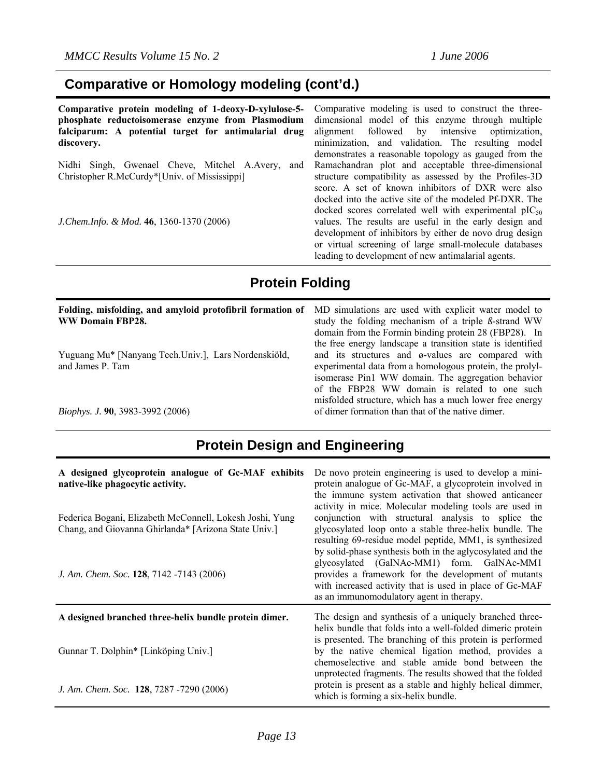### **Comparative or Homology modeling (cont'd.)**

**Comparative protein modeling of 1-deoxy-D-xylulose-5 phosphate reductoisomerase enzyme from Plasmodium falciparum: A potential target for antimalarial drug discovery.** 

Nidhi Singh, Gwenael Cheve, Mitchel A.Avery, and Christopher R.McCurdy\*[Univ. of Mississippi]

*J.Chem.Info. & Mod.* **46**, 1360-1370 (2006)

Comparative modeling is used to construct the threedimensional model of this enzyme through multiple alignment followed by intensive optimization, minimization, and validation. The resulting model demonstrates a reasonable topology as gauged from the Ramachandran plot and acceptable three-dimensional structure compatibility as assessed by the Profiles-3D score. A set of known inhibitors of DXR were also docked into the active site of the modeled Pf-DXR. The docked scores correlated well with experimental  $pIC_{50}$ values. The results are useful in the early design and development of inhibitors by either de novo drug design or virtual screening of large small-molecule databases leading to development of new antimalarial agents.

the free energy landscape a transition state is identified and its structures and ø-values are compared with experimental data from a homologous protein, the prolylisomerase Pin1 WW domain. The aggregation behavior of the FBP28 WW domain is related to one such misfolded structure, which has a much lower free energy

of dimer formation than that of the native dimer.

## **Protein Folding**

#### **Folding, misfolding, and amyloid protofibril formation of WW Domain FBP28.**  MD simulations are used with explicit water model to study the folding mechanism of a triple *ß*-strand WW domain from the Formin binding protein 28 (FBP28). In

Yuguang Mu\* [Nanyang Tech.Univ.], Lars Nordenskiöld, and James P. Tam

*Biophys. J.* **90**, 3983-3992 (2006)

### **Protein Design and Engineering**

| A designed glycoprotein analogue of Gc-MAF exhibits<br>native-like phagocytic activity.<br>Federica Bogani, Elizabeth McConnell, Lokesh Joshi, Yung<br>Chang, and Giovanna Ghirlanda* [Arizona State Univ.] | De novo protein engineering is used to develop a mini-<br>protein analogue of Gc-MAF, a glycoprotein involved in<br>the immune system activation that showed anticancer<br>activity in mice. Molecular modeling tools are used in<br>conjunction with structural analysis to splice the<br>glycosylated loop onto a stable three-helix bundle. The<br>resulting 69-residue model peptide, MM1, is synthesized<br>by solid-phase synthesis both in the aglycosylated and the |
|-------------------------------------------------------------------------------------------------------------------------------------------------------------------------------------------------------------|-----------------------------------------------------------------------------------------------------------------------------------------------------------------------------------------------------------------------------------------------------------------------------------------------------------------------------------------------------------------------------------------------------------------------------------------------------------------------------|
| J. Am. Chem. Soc. 128, 7142 -7143 (2006)                                                                                                                                                                    | glycosylated (GalNAc-MM1) form. GalNAc-MM1<br>provides a framework for the development of mutants<br>with increased activity that is used in place of Gc-MAF<br>as an immunomodulatory agent in therapy.                                                                                                                                                                                                                                                                    |
| A designed branched three-helix bundle protein dimer.                                                                                                                                                       | The design and synthesis of a uniquely branched three-<br>helix bundle that folds into a well-folded dimeric protein                                                                                                                                                                                                                                                                                                                                                        |
| Gunnar T. Dolphin* [Linköping Univ.]                                                                                                                                                                        | is presented. The branching of this protein is performed<br>by the native chemical ligation method, provides a<br>chemoselective and stable amide bond between the<br>unprotected fragments. The results showed that the folded                                                                                                                                                                                                                                             |
| J. Am. Chem. Soc. 128, 7287 -7290 (2006)                                                                                                                                                                    | protein is present as a stable and highly helical dimmer,<br>which is forming a six-helix bundle.                                                                                                                                                                                                                                                                                                                                                                           |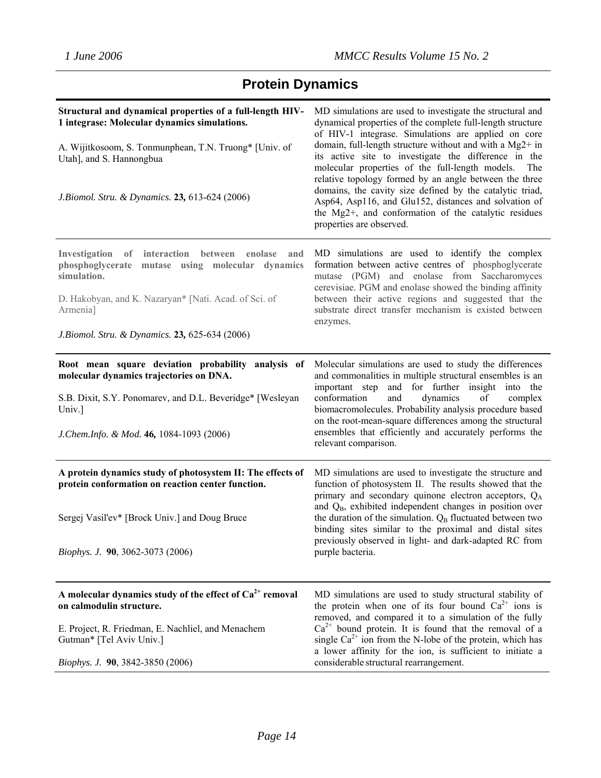# **Protein Dynamics**

| Structural and dynamical properties of a full-length HIV-<br>1 integrase: Molecular dynamics simulations.<br>A. Wijitkosoom, S. Tonmunphean, T.N. Truong* [Univ. of<br>Utah], and S. Hannongbua<br>J. Biomol. Stru. & Dynamics. 23, 613-624 (2006)        | MD simulations are used to investigate the structural and<br>dynamical properties of the complete full-length structure<br>of HIV-1 integrase. Simulations are applied on core<br>domain, full-length structure without and with a Mg2+ in<br>its active site to investigate the difference in the<br>molecular properties of the full-length models.<br>The<br>relative topology formed by an angle between the three<br>domains, the cavity size defined by the catalytic triad,<br>Asp64, Asp116, and Glu152, distances and solvation of<br>the Mg2+, and conformation of the catalytic residues<br>properties are observed. |
|-----------------------------------------------------------------------------------------------------------------------------------------------------------------------------------------------------------------------------------------------------------|---------------------------------------------------------------------------------------------------------------------------------------------------------------------------------------------------------------------------------------------------------------------------------------------------------------------------------------------------------------------------------------------------------------------------------------------------------------------------------------------------------------------------------------------------------------------------------------------------------------------------------|
| of interaction<br>Investigation<br>between<br>enolase<br>and<br>phosphoglycerate<br>mutase using molecular dynamics<br>simulation.<br>D. Hakobyan, and K. Nazaryan* [Nati. Acad. of Sci. of<br>Armenia]<br>J.Biomol. Stru. & Dynamics. 23, 625-634 (2006) | MD simulations are used to identify the complex<br>formation between active centres of phosphoglycerate<br>mutase (PGM) and enolase from Saccharomyces<br>cerevisiae. PGM and enolase showed the binding affinity<br>between their active regions and suggested that the<br>substrate direct transfer mechanism is existed between<br>enzymes.                                                                                                                                                                                                                                                                                  |
| Root mean square deviation probability analysis of<br>molecular dynamics trajectories on DNA.<br>S.B. Dixit, S.Y. Ponomarev, and D.L. Beveridge* [Wesleyan<br>Univ.]<br>J.Chem.Info. & Mod. 46, 1084-1093 (2006)                                          | Molecular simulations are used to study the differences<br>and commonalities in multiple structural ensembles is an<br>important step and for further insight into the<br>dynamics<br>conformation<br>and<br>of<br>complex<br>biomacromolecules. Probability analysis procedure based<br>on the root-mean-square differences among the structural<br>ensembles that efficiently and accurately performs the<br>relevant comparison.                                                                                                                                                                                             |
| A protein dynamics study of photosystem II: The effects of<br>protein conformation on reaction center function.<br>Sergej Vasil'ev* [Brock Univ.] and Doug Bruce<br>Biophys. J. 90, 3062-3073 (2006)                                                      | MD simulations are used to investigate the structure and<br>function of photosystem II. The results showed that the<br>primary and secondary quinone electron acceptors, Q <sub>A</sub><br>and Q <sub>B</sub> , exhibited independent changes in position over<br>the duration of the simulation. Q <sub>B</sub> fluctuated between two<br>binding sites similar to the proximal and distal sites<br>previously observed in light- and dark-adapted RC from<br>purple bacteria.                                                                                                                                                 |
| A molecular dynamics study of the effect of $Ca^{2+}$ removal<br>on calmodulin structure.<br>E. Project, R. Friedman, E. Nachliel, and Menachem<br>Gutman* [Tel Aviv Univ.]<br>Biophys. J. 90, 3842-3850 (2006)                                           | MD simulations are used to study structural stability of<br>the protein when one of its four bound $Ca^{2+}$ ions is<br>removed, and compared it to a simulation of the fully<br>$Ca2+$ bound protein. It is found that the removal of a<br>single $Ca^{2+}$ ion from the N-lobe of the protein, which has<br>a lower affinity for the ion, is sufficient to initiate a<br>considerable structural rearrangement.                                                                                                                                                                                                               |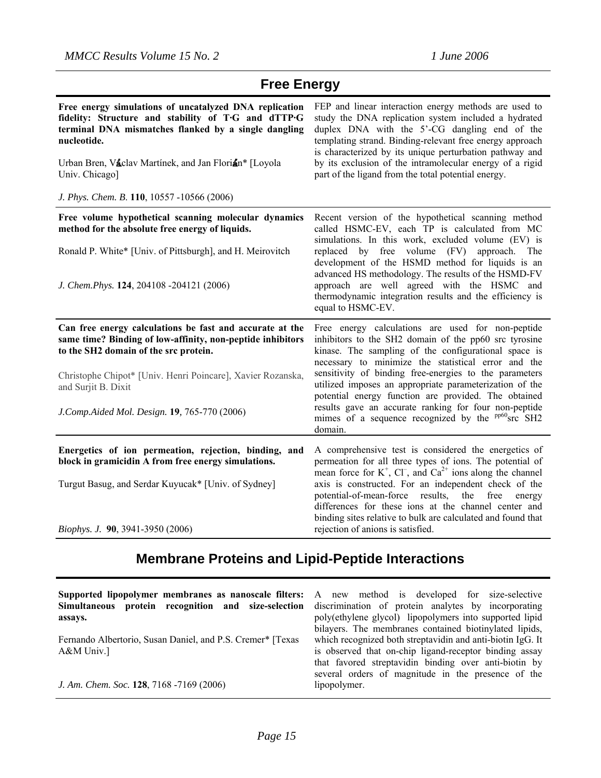| <b>Free Energy</b>                                                                                                                                                                                                                                                                                            |                                                                                                                                                                                                                                                                                                                                                                                                          |  |
|---------------------------------------------------------------------------------------------------------------------------------------------------------------------------------------------------------------------------------------------------------------------------------------------------------------|----------------------------------------------------------------------------------------------------------------------------------------------------------------------------------------------------------------------------------------------------------------------------------------------------------------------------------------------------------------------------------------------------------|--|
| Free energy simulations of uncatalyzed DNA replication<br>fidelity: Structure and stability of T.G and dTTP.G<br>terminal DNA mismatches flanked by a single dangling<br>nucleotide.<br>Urban Bren, Vaclav Martínek, and Jan Florian* [Loyola<br>Univ. Chicago]<br>J. Phys. Chem. B. 110, 10557 -10566 (2006) | FEP and linear interaction energy methods are used to<br>study the DNA replication system included a hydrated<br>duplex DNA with the 5'-CG dangling end of the<br>templating strand. Binding-relevant free energy approach<br>is characterized by its unique perturbation pathway and<br>by its exclusion of the intramolecular energy of a rigid<br>part of the ligand from the total potential energy. |  |
| Free volume hypothetical scanning molecular dynamics                                                                                                                                                                                                                                                          | Recent version of the hypothetical scanning method                                                                                                                                                                                                                                                                                                                                                       |  |
| method for the absolute free energy of liquids.                                                                                                                                                                                                                                                               | called HSMC-EV, each TP is calculated from MC                                                                                                                                                                                                                                                                                                                                                            |  |
| Ronald P. White* [Univ. of Pittsburgh], and H. Meirovitch                                                                                                                                                                                                                                                     | simulations. In this work, excluded volume (EV) is<br>replaced by free volume (FV) approach.<br>The<br>development of the HSMD method for liquids is an                                                                                                                                                                                                                                                  |  |
| J. Chem.Phys. 124, 204108 -204121 (2006)                                                                                                                                                                                                                                                                      | advanced HS methodology. The results of the HSMD-FV<br>approach are well agreed with the HSMC and<br>thermodynamic integration results and the efficiency is<br>equal to HSMC-EV.                                                                                                                                                                                                                        |  |
| Can free energy calculations be fast and accurate at the<br>same time? Binding of low-affinity, non-peptide inhibitors<br>to the SH2 domain of the src protein.                                                                                                                                               | Free energy calculations are used for non-peptide<br>inhibitors to the SH2 domain of the pp60 src tyrosine<br>kinase. The sampling of the configurational space is<br>necessary to minimize the statistical error and the                                                                                                                                                                                |  |
| Christophe Chipot* [Univ. Henri Poincare], Xavier Rozanska,<br>and Surjit B. Dixit                                                                                                                                                                                                                            | sensitivity of binding free-energies to the parameters<br>utilized imposes an appropriate parameterization of the<br>potential energy function are provided. The obtained                                                                                                                                                                                                                                |  |
| J.Comp.Aided Mol. Design. 19, 765-770 (2006)                                                                                                                                                                                                                                                                  | results gave an accurate ranking for four non-peptide<br>mimes of a sequence recognized by the $\frac{p}{p60}$ src SH2<br>domain.                                                                                                                                                                                                                                                                        |  |
| Energetics of ion permeation, rejection, binding, and<br>block in gramicidin A from free energy simulations.                                                                                                                                                                                                  | A comprehensive test is considered the energetics of<br>permeation for all three types of ions. The potential of<br>mean force for $K^+$ , $CI^-$ , and $Ca^{2+}$ ions along the channel                                                                                                                                                                                                                 |  |
| Turgut Basug, and Serdar Kuyucak* [Univ. of Sydney]                                                                                                                                                                                                                                                           | axis is constructed. For an independent check of the<br>potential-of-mean-force results,<br>the<br>free<br>energy<br>differences for these ions at the channel center and                                                                                                                                                                                                                                |  |
| Biophys. J. 90, 3941-3950 (2006)                                                                                                                                                                                                                                                                              | binding sites relative to bulk are calculated and found that<br>rejection of anions is satisfied.                                                                                                                                                                                                                                                                                                        |  |

# **Membrane Proteins and Lipid-Peptide Interactions**

| Supported lipopolymer membranes as nanoscale filters: A new method is developed for size-selective<br>Simultaneous protein recognition and size-selection discrimination of protein analytes by incorporating<br>assays. | poly(ethylene glycol) lipopolymers into supported lipid<br>bilayers. The membranes contained biotinylated lipids,                                                                                                                   |
|--------------------------------------------------------------------------------------------------------------------------------------------------------------------------------------------------------------------------|-------------------------------------------------------------------------------------------------------------------------------------------------------------------------------------------------------------------------------------|
| Fernando Albertorio, Susan Daniel, and P.S. Cremer* [Texas]<br>$A&M$ Univ.]                                                                                                                                              | which recognized both streptavidin and anti-biotin IgG. It<br>is observed that on-chip ligand-receptor binding assay<br>that favored streptavidin binding over anti-biotin by<br>several orders of magnitude in the presence of the |
| J. Am. Chem. Soc. 128, 7168 -7169 (2006)                                                                                                                                                                                 | lipopolymer.                                                                                                                                                                                                                        |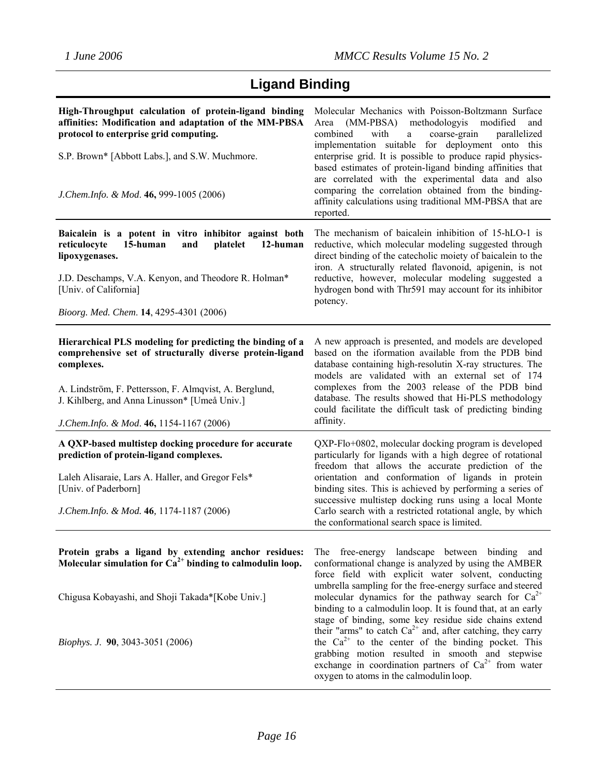|  | <b>Ligand Binding</b> |
|--|-----------------------|
|--|-----------------------|

| High-Throughput calculation of protein-ligand binding<br>affinities: Modification and adaptation of the MM-PBSA<br>protocol to enterprise grid computing.<br>S.P. Brown* [Abbott Labs.], and S.W. Muchmore.<br>J.Chem.Info. & Mod. 46, 999-1005 (2006)                                    | Molecular Mechanics with Poisson-Boltzmann Surface<br>methodologyis<br>(MM-PBSA)<br>modified<br>Area<br>and<br>combined<br>with<br>coarse-grain<br>parallelized<br>$\mathbf{a}$<br>implementation suitable for deployment onto this<br>enterprise grid. It is possible to produce rapid physics-<br>based estimates of protein-ligand binding affinities that<br>are correlated with the experimental data and also<br>comparing the correlation obtained from the binding-<br>affinity calculations using traditional MM-PBSA that are<br>reported.                                                                                                                                                  |
|-------------------------------------------------------------------------------------------------------------------------------------------------------------------------------------------------------------------------------------------------------------------------------------------|-------------------------------------------------------------------------------------------------------------------------------------------------------------------------------------------------------------------------------------------------------------------------------------------------------------------------------------------------------------------------------------------------------------------------------------------------------------------------------------------------------------------------------------------------------------------------------------------------------------------------------------------------------------------------------------------------------|
| Baicalein is a potent in vitro inhibitor against both<br>15-human<br>platelet<br>12-human<br>reticulocyte<br>and<br>lipoxygenases.<br>J.D. Deschamps, V.A. Kenyon, and Theodore R. Holman*<br>[Univ. of California]<br>Bioorg. Med. Chem. 14, 4295-4301 (2006)                            | The mechanism of baicalein inhibition of 15-hLO-1 is<br>reductive, which molecular modeling suggested through<br>direct binding of the catecholic moiety of baicalein to the<br>iron. A structurally related flavonoid, apigenin, is not<br>reductive, however, molecular modeling suggested a<br>hydrogen bond with Thr591 may account for its inhibitor<br>potency.                                                                                                                                                                                                                                                                                                                                 |
| Hierarchical PLS modeling for predicting the binding of a<br>comprehensive set of structurally diverse protein-ligand<br>complexes.<br>A. Lindström, F. Pettersson, F. Almqvist, A. Berglund,<br>J. Kihlberg, and Anna Linusson* [Umeå Univ.]<br>J.Chem.Info. & Mod. 46, 1154-1167 (2006) | A new approach is presented, and models are developed<br>based on the iformation available from the PDB bind<br>database containing high-resolutin X-ray structures. The<br>models are validated with an external set of 174<br>complexes from the 2003 release of the PDB bind<br>database. The results showed that Hi-PLS methodology<br>could facilitate the difficult task of predicting binding<br>affinity.                                                                                                                                                                                                                                                                                     |
| A QXP-based multistep docking procedure for accurate<br>prediction of protein-ligand complexes.<br>Laleh Alisaraie, Lars A. Haller, and Gregor Fels*<br>[Univ. of Paderborn]<br>J. Chem. Info. & Mod. 46, 1174-1187 (2006)                                                                | QXP-Flo+0802, molecular docking program is developed<br>particularly for ligands with a high degree of rotational<br>freedom that allows the accurate prediction of the<br>orientation and conformation of ligands in protein<br>binding sites. This is achieved by performing a series of<br>successive multistep docking runs using a local Monte<br>Carlo search with a restricted rotational angle, by which<br>the conformational search space is limited.                                                                                                                                                                                                                                       |
| Protein grabs a ligand by extending anchor residues:<br>Molecular simulation for $Ca^{2+}$ binding to calmodulin loop.<br>Chigusa Kobayashi, and Shoji Takada*[Kobe Univ.]<br><i>Biophys. J.</i> 90, 3043-3051 (2006)                                                                     | The free-energy landscape between binding and<br>conformational change is analyzed by using the AMBER<br>force field with explicit water solvent, conducting<br>umbrella sampling for the free-energy surface and steered<br>molecular dynamics for the pathway search for $Ca^{2+}$<br>binding to a calmodulin loop. It is found that, at an early<br>stage of binding, some key residue side chains extend<br>their "arms" to catch $Ca^{2+}$ and, after catching, they carry<br>the $Ca^{2+}$ to the center of the binding pocket. This<br>grabbing motion resulted in smooth and stepwise<br>exchange in coordination partners of $Ca^{2+}$ from water<br>oxygen to atoms in the calmodulin loop. |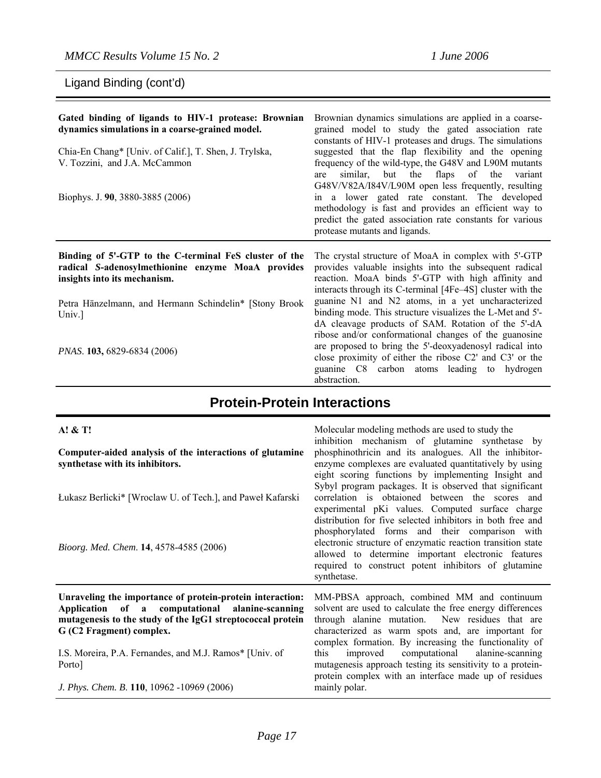Ligand Binding (cont'd)

**A! & T!** 

| Gated binding of ligands to HIV-1 protease: Brownian<br>dynamics simulations in a coarse-grained model.<br>Chia-En Chang* [Univ. of Calif.], T. Shen, J. Trylska,<br>V. Tozzini, and J.A. McCammon<br>Biophys. J. 90, 3880-3885 (2006) | Brownian dynamics simulations are applied in a coarse-<br>grained model to study the gated association rate<br>constants of HIV-1 proteases and drugs. The simulations<br>suggested that the flap flexibility and the opening<br>frequency of the wild-type, the G48V and L90M mutants<br>similar, but the flaps of the<br>variant<br>are<br>G48V/V82A/I84V/L90M open less frequently, resulting<br>in a lower gated rate constant. The developed<br>methodology is fast and provides an efficient way to<br>predict the gated association rate constants for various<br>protease mutants and ligands. |
|----------------------------------------------------------------------------------------------------------------------------------------------------------------------------------------------------------------------------------------|--------------------------------------------------------------------------------------------------------------------------------------------------------------------------------------------------------------------------------------------------------------------------------------------------------------------------------------------------------------------------------------------------------------------------------------------------------------------------------------------------------------------------------------------------------------------------------------------------------|
| Binding of 5'-GTP to the C-terminal FeS cluster of the<br>radical S-adenosylmethionine enzyme MoaA provides<br>insights into its mechanism.                                                                                            | The crystal structure of MoaA in complex with 5'-GTP<br>provides valuable insights into the subsequent radical<br>reaction. MoaA binds 5'-GTP with high affinity and<br>interacts through its C-terminal [4Fe-4S] cluster with the                                                                                                                                                                                                                                                                                                                                                                     |
| Petra Hänzelmann, and Hermann Schindelin* [Stony Brook]<br>Univ.]                                                                                                                                                                      | guanine N1 and N2 atoms, in a yet uncharacterized<br>binding mode. This structure visualizes the L-Met and 5'-<br>dA cleavage products of SAM. Rotation of the 5'-dA<br>ribose and/or conformational changes of the guanosine                                                                                                                                                                                                                                                                                                                                                                          |
| <i>PNAS.</i> <b>103,</b> 6829-6834 (2006)                                                                                                                                                                                              | are proposed to bring the 5'-deoxyadenosyl radical into<br>close proximity of either the ribose C2' and C3' or the<br>guanine C8 carbon atoms leading to hydrogen<br>abstraction.                                                                                                                                                                                                                                                                                                                                                                                                                      |

### **Protein-Protein Interactions**

#### **Computer-aided analysis of the interactions of glutamine synthetase with its inhibitors.**  Łukasz Berlicki\* [Wroclaw U. of Tech.], and Paweł Kafarski *Bioorg. Med. Chem*. **14**, 4578-4585 (2006) Molecular modeling methods are used to study the inhibition mechanism of glutamine synthetase by phosphinothricin and its analogues. All the inhibitorenzyme complexes are evaluated quantitatively by using eight scoring functions by implementing Insight and Sybyl program packages. It is observed that significant correlation is obtaioned between the scores and experimental pKi values. Computed surface charge distribution for five selected inhibitors in both free and phosphorylated forms and their comparison with electronic structure of enzymatic reaction transition state allowed to determine important electronic features required to construct potent inhibitors of glutamine synthetase. **Unraveling the importance of protein-protein interaction: Application of a computational alanine-scanning mutagenesis to the study of the IgG1 streptococcal protein G (C2 Fragment) complex.**  I.S. Moreira, P.A. Fernandes, and M.J. Ramos\* [Univ. of Porto] *J. Phys. Chem. B*. **110**, 10962 -10969 (2006) MM-PBSA approach, combined MM and continuum solvent are used to calculate the free energy differences through alanine mutation. New residues that are characterized as warm spots and, are important for complex formation. By increasing the functionality of this improved computational alanine-scanning mutagenesis approach testing its sensitivity to a proteinprotein complex with an interface made up of residues mainly polar.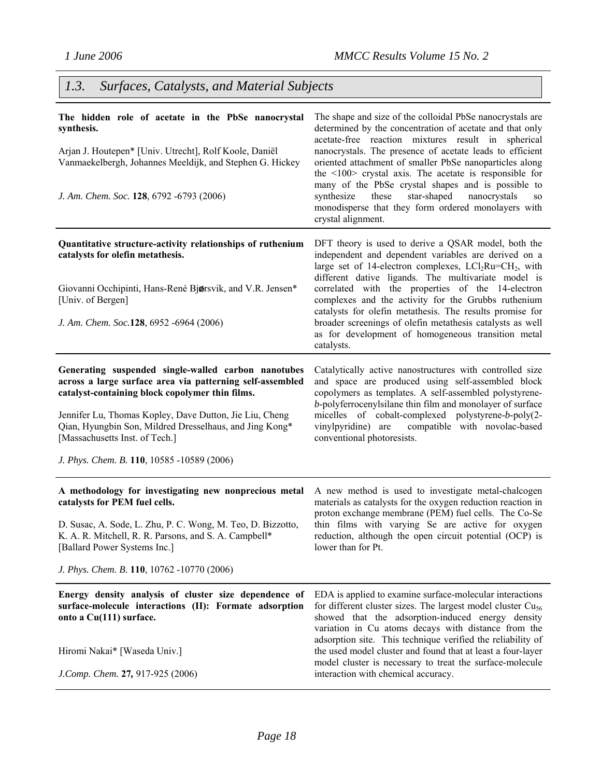# *1.3. Surfaces, Catalysts, and Material Subjects*

| The hidden role of acetate in the PbSe nanocrystal<br>synthesis.<br>Arjan J. Houtepen* [Univ. Utrecht], Rolf Koole, Daniël<br>Vanmaekelbergh, Johannes Meeldijk, and Stephen G. Hickey<br>J. Am. Chem. Soc. 128, 6792 -6793 (2006)                                                                                                                                        | The shape and size of the colloidal PbSe nanocrystals are<br>determined by the concentration of acetate and that only<br>acetate-free reaction mixtures result in spherical<br>nanocrystals. The presence of acetate leads to efficient<br>oriented attachment of smaller PbSe nanoparticles along<br>the $\leq 100$ crystal axis. The acetate is responsible for<br>many of the PbSe crystal shapes and is possible to<br>these<br>star-shaped<br>nanocrystals<br>synthesize<br>SO.<br>monodisperse that they form ordered monolayers with<br>crystal alignment. |
|---------------------------------------------------------------------------------------------------------------------------------------------------------------------------------------------------------------------------------------------------------------------------------------------------------------------------------------------------------------------------|-------------------------------------------------------------------------------------------------------------------------------------------------------------------------------------------------------------------------------------------------------------------------------------------------------------------------------------------------------------------------------------------------------------------------------------------------------------------------------------------------------------------------------------------------------------------|
| Quantitative structure-activity relationships of ruthenium<br>catalysts for olefin metathesis.<br>Giovanni Occhipinti, Hans-René Bjørsvik, and V.R. Jensen*<br>[Univ. of Bergen]<br>J. Am. Chem. Soc.128, 6952 -6964 (2006)                                                                                                                                               | DFT theory is used to derive a QSAR model, both the<br>independent and dependent variables are derived on a<br>large set of 14-electron complexes, $LCl_2Ru=CH_2$ , with<br>different dative ligands. The multivariate model is<br>correlated with the properties of the 14-electron<br>complexes and the activity for the Grubbs ruthenium<br>catalysts for olefin metathesis. The results promise for<br>broader screenings of olefin metathesis catalysts as well<br>as for development of homogeneous transition metal<br>catalysts.                          |
| Generating suspended single-walled carbon nanotubes<br>across a large surface area via patterning self-assembled<br>catalyst-containing block copolymer thin films.<br>Jennifer Lu, Thomas Kopley, Dave Dutton, Jie Liu, Cheng<br>Qian, Hyungbin Son, Mildred Dresselhaus, and Jing Kong*<br>[Massachusetts Inst. of Tech.]<br>J. Phys. Chem. B. 110, 10585 -10589 (2006) | Catalytically active nanostructures with controlled size<br>and space are produced using self-assembled block<br>copolymers as templates. A self-assembled polystyrene-<br>b-polyferrocenylsilane thin film and monolayer of surface<br>micelles of cobalt-complexed polystyrene-b-poly(2-<br>vinylpyridine) are compatible with novolac-based<br>conventional photoresists.                                                                                                                                                                                      |
| A methodology for investigating new nonprecious metal<br>catalysts for PEM fuel cells.<br>D. Susac, A. Sode, L. Zhu, P. C. Wong, M. Teo, D. Bizzotto,<br>K. A. R. Mitchell, R. R. Parsons, and S. A. Campbell*<br>[Ballard Power Systems Inc.]<br>J. Phys. Chem. B. 110, 10762 -10770 (2006)                                                                              | A new method is used to investigate metal-chalcogen<br>materials as catalysts for the oxygen reduction reaction in<br>proton exchange membrane (PEM) fuel cells. The Co-Se<br>thin films with varying Se are active for oxygen<br>reduction, although the open circuit potential (OCP) is<br>lower than for Pt.                                                                                                                                                                                                                                                   |
| Energy density analysis of cluster size dependence of<br>surface-molecule interactions (II): Formate adsorption<br>onto a Cu(111) surface.<br>Hiromi Nakai* [Waseda Univ.]<br>J.Comp. Chem. 27, 917-925 (2006)                                                                                                                                                            | EDA is applied to examine surface-molecular interactions<br>for different cluster sizes. The largest model cluster $Cu56$<br>showed that the adsorption-induced energy density<br>variation in Cu atoms decays with distance from the<br>adsorption site. This technique verified the reliability of<br>the used model cluster and found that at least a four-layer<br>model cluster is necessary to treat the surface-molecule<br>interaction with chemical accuracy.                                                                                            |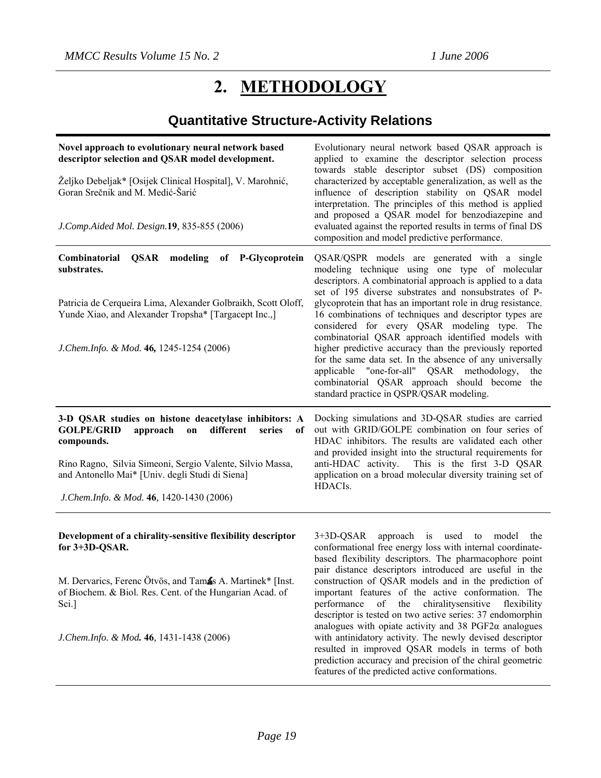# **2. METHODOLOGY**

# **Quantitative Structure-Activity Relations**

| Novel approach to evolutionary neural network based<br>descriptor selection and QSAR model development.<br>Željko Debeljak* [Osijek Clinical Hospital], V. Marohnić,<br>Goran Srečnik and M. Medić-Šarić<br>J.Comp.Aided Mol. Design.19, 835-855 (2006)                                             | Evolutionary neural network based QSAR approach is<br>applied to examine the descriptor selection process<br>towards stable descriptor subset (DS) composition<br>characterized by acceptable generalization, as well as the<br>influence of description stability on QSAR model<br>interpretation. The principles of this method is applied<br>and proposed a QSAR model for benzodiazepine and<br>evaluated against the reported results in terms of final DS<br>composition and model predictive performance.                                                                                                                                                                                                              |
|-----------------------------------------------------------------------------------------------------------------------------------------------------------------------------------------------------------------------------------------------------------------------------------------------------|-------------------------------------------------------------------------------------------------------------------------------------------------------------------------------------------------------------------------------------------------------------------------------------------------------------------------------------------------------------------------------------------------------------------------------------------------------------------------------------------------------------------------------------------------------------------------------------------------------------------------------------------------------------------------------------------------------------------------------|
| Combinatorial<br>modeling<br>of P-Glycoprotein<br>QSAR<br>substrates.<br>Patricia de Cerqueira Lima, Alexander Golbraikh, Scott Oloff,<br>Yunde Xiao, and Alexander Tropsha* [Targacept Inc.,]<br>J.Chem.Info. & Mod. 46, 1245-1254 (2006)                                                          | QSAR/QSPR models are generated with a single<br>modeling technique using one type of molecular<br>descriptors. A combinatorial approach is applied to a data<br>set of 195 diverse substrates and nonsubstrates of P-<br>glycoprotein that has an important role in drug resistance.<br>16 combinations of techniques and descriptor types are<br>considered for every QSAR modeling type. The<br>combinatorial QSAR approach identified models with<br>higher predictive accuracy than the previously reported<br>for the same data set. In the absence of any universally<br>applicable "one-for-all" QSAR methodology,<br>the<br>combinatorial QSAR approach should become the<br>standard practice in QSPR/QSAR modeling. |
|                                                                                                                                                                                                                                                                                                     |                                                                                                                                                                                                                                                                                                                                                                                                                                                                                                                                                                                                                                                                                                                               |
| 3-D QSAR studies on histone deacetylase inhibitors: A<br><b>GOLPE/GRID</b><br>approach<br>different<br>on<br>series<br>of<br>compounds.<br>Rino Ragno, Silvia Simeoni, Sergio Valente, Silvio Massa,<br>and Antonello Mai* [Univ. degli Studi di Siena]<br>J.Chem.Info. & Mod. 46, 1420-1430 (2006) | Docking simulations and 3D-QSAR studies are carried<br>out with GRID/GOLPE combination on four series of<br>HDAC inhibitors. The results are validated each other<br>and provided insight into the structural requirements for<br>anti-HDAC activity. This is the first 3-D QSAR<br>application on a broad molecular diversity training set of<br>HDACIs.                                                                                                                                                                                                                                                                                                                                                                     |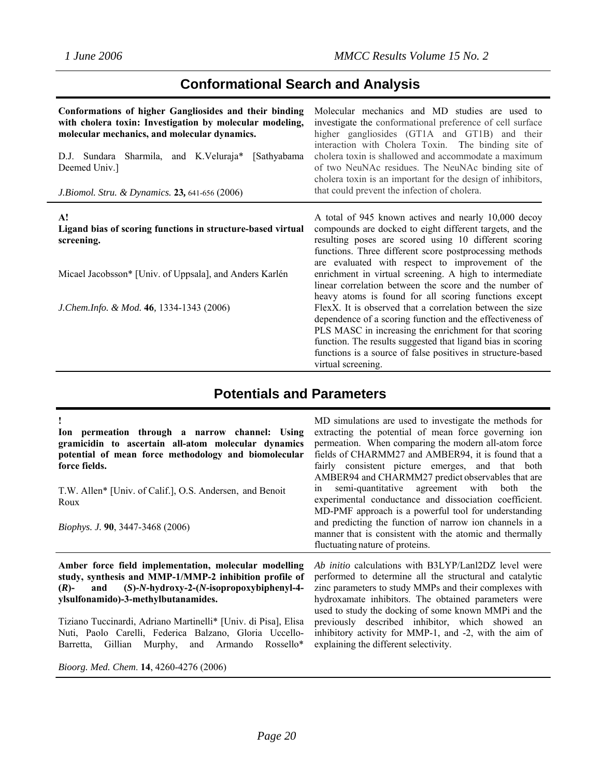# **Conformational Search and Analysis**

| Conformations of higher Gangliosides and their binding<br>with cholera toxin: Investigation by molecular modeling,<br>molecular mechanics, and molecular dynamics.<br>Sharmila, and K.Veluraja*<br>[Sathyabama]<br>D.J. Sundara<br>Deemed Univ.]<br>J. Biomol. Stru. & Dynamics. 23, 641-656 (2006) | Molecular mechanics and MD studies are used to<br>investigate the conformational preference of cell surface<br>higher gangliosides (GT1A and GT1B) and their<br>interaction with Cholera Toxin. The binding site of<br>cholera toxin is shallowed and accommodate a maximum<br>of two NeuNAc residues. The NeuNAc binding site of<br>cholera toxin is an important for the design of inhibitors,<br>that could prevent the infection of cholera. |
|-----------------------------------------------------------------------------------------------------------------------------------------------------------------------------------------------------------------------------------------------------------------------------------------------------|--------------------------------------------------------------------------------------------------------------------------------------------------------------------------------------------------------------------------------------------------------------------------------------------------------------------------------------------------------------------------------------------------------------------------------------------------|
| A!<br>Ligand bias of scoring functions in structure-based virtual<br>screening.                                                                                                                                                                                                                     | A total of 945 known actives and nearly 10,000 decoy<br>compounds are docked to eight different targets, and the<br>resulting poses are scored using 10 different scoring<br>functions. Three different score postprocessing methods                                                                                                                                                                                                             |
| Micael Jacobsson* [Univ. of Uppsala], and Anders Karlén                                                                                                                                                                                                                                             | are evaluated with respect to improvement of the<br>enrichment in virtual screening. A high to intermediate<br>linear correlation between the score and the number of<br>heavy atoms is found for all scoring functions except                                                                                                                                                                                                                   |
| J. Chem. Info. & Mod. 46, 1334-1343 (2006)                                                                                                                                                                                                                                                          | FlexX. It is observed that a correlation between the size<br>dependence of a scoring function and the effectiveness of<br>PLS MASC in increasing the enrichment for that scoring<br>function. The results suggested that ligand bias in scoring<br>functions is a source of false positives in structure-based<br>virtual screening.                                                                                                             |

# **Potentials and Parameters**

| Ion permeation through a narrow channel: Using<br>gramicidin to ascertain all-atom molecular dynamics<br>potential of mean force methodology and biomolecular<br>force fields.<br>T.W. Allen* [Univ. of Calif.], O.S. Andersen, and Benoit<br>Roux<br><i>Biophys. J.</i> 90, 3447-3468 (2006)                                                                                                              | MD simulations are used to investigate the methods for<br>extracting the potential of mean force governing ion<br>permeation. When comparing the modern all-atom force<br>fields of CHARMM27 and AMBER94, it is found that a<br>fairly consistent picture emerges, and that both<br>AMBER94 and CHARMM27 predict observables that are<br>semi-quantitative agreement with both the<br>1n<br>experimental conductance and dissociation coefficient.<br>MD-PMF approach is a powerful tool for understanding<br>and predicting the function of narrow ion channels in a<br>manner that is consistent with the atomic and thermally<br>fluctuating nature of proteins. |
|------------------------------------------------------------------------------------------------------------------------------------------------------------------------------------------------------------------------------------------------------------------------------------------------------------------------------------------------------------------------------------------------------------|---------------------------------------------------------------------------------------------------------------------------------------------------------------------------------------------------------------------------------------------------------------------------------------------------------------------------------------------------------------------------------------------------------------------------------------------------------------------------------------------------------------------------------------------------------------------------------------------------------------------------------------------------------------------|
| Amber force field implementation, molecular modelling<br>study, synthesis and MMP-1/MMP-2 inhibition profile of<br>and $(S)-N$ -hydroxy-2- $(N$ -isopropoxybiphenyl-4-<br>$(R)$ -<br>ylsulfonamido)-3-methylbutanamides.<br>Tiziano Tuccinardi, Adriano Martinelli* [Univ. di Pisa], Elisa<br>Nuti, Paolo Carelli, Federica Balzano, Gloria Uccello-<br>Barretta, Gillian Murphy, and Armando<br>Rossello* | Ab initio calculations with B3LYP/Lanl2DZ level were<br>performed to determine all the structural and catalytic<br>zinc parameters to study MMPs and their complexes with<br>hydroxamate inhibitors. The obtained parameters were<br>used to study the docking of some known MMPi and the<br>previously described inhibitor, which showed an<br>inhibitory activity for MMP-1, and -2, with the aim of<br>explaining the different selectivity.                                                                                                                                                                                                                     |

*Bioorg. Med. Chem*. **14**, 4260-4276 (2006)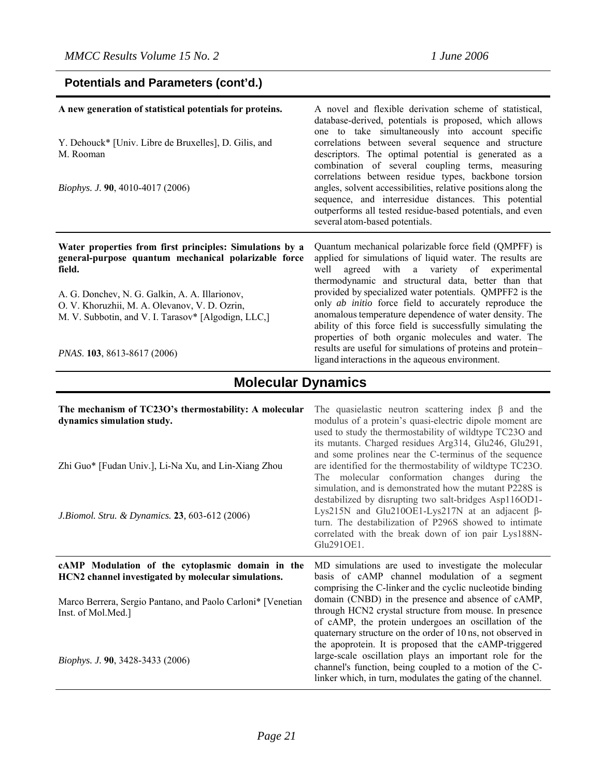### **Potentials and Parameters (cont'd.)**

| A new generation of statistical potentials for proteins.                                                                                               | A novel and flexible derivation scheme of statistical,<br>database-derived, potentials is proposed, which allows<br>one to take simultaneously into account specific                                                                                                                                                                                           |
|--------------------------------------------------------------------------------------------------------------------------------------------------------|----------------------------------------------------------------------------------------------------------------------------------------------------------------------------------------------------------------------------------------------------------------------------------------------------------------------------------------------------------------|
| Y. Dehouck* [Univ. Libre de Bruxelles], D. Gilis, and<br>M. Rooman                                                                                     | correlations between several sequence and structure<br>descriptors. The optimal potential is generated as a<br>combination of several coupling terms, measuring<br>correlations between residue types, backbone torsion                                                                                                                                        |
| <i>Biophys. J.</i> 90, 4010-4017 (2006)                                                                                                                | angles, solvent accessibilities, relative positions along the<br>sequence, and interresidue distances. This potential<br>outperforms all tested residue-based potentials, and even<br>several atom-based potentials.                                                                                                                                           |
|                                                                                                                                                        |                                                                                                                                                                                                                                                                                                                                                                |
| Water properties from first principles: Simulations by a<br>general-purpose quantum mechanical polarizable force<br>field.                             | Quantum mechanical polarizable force field (QMPFF) is<br>applied for simulations of liquid water. The results are<br>agreed with a variety of experimental<br>well                                                                                                                                                                                             |
| A. G. Donchev, N. G. Galkin, A. A. Illarionov,<br>O. V. Khoruzhii, M. A. Olevanov, V. D. Ozrin,<br>M. V. Subbotin, and V. I. Tarasov* [Algodign, LLC,] | thermodynamic and structural data, better than that<br>provided by specialized water potentials. QMPFF2 is the<br>only <i>ab initio</i> force field to accurately reproduce the<br>anomalous temperature dependence of water density. The<br>ability of this force field is successfully simulating the<br>properties of both organic molecules and water. The |

# **Molecular Dynamics**

| The mechanism of TC23O's thermostability: A molecular<br>dynamics simulation study.<br>Zhi Guo* [Fudan Univ.], Li-Na Xu, and Lin-Xiang Zhou<br>J. Biomol. Stru. & Dynamics. 23, 603-612 (2006) | The quasielastic neutron scattering index $\beta$ and the<br>modulus of a protein's quasi-electric dipole moment are<br>used to study the thermostability of wildtype TC23O and<br>its mutants. Charged residues Arg314, Glu246, Glu291,<br>and some prolines near the C-terminus of the sequence<br>are identified for the thermostability of wildtype TC23O.<br>The molecular conformation changes during the<br>simulation, and is demonstrated how the mutant P228S is<br>destabilized by disrupting two salt-bridges Asp116OD1-<br>Lys215N and Glu210OE1-Lys217N at an adjacent $\beta$ -<br>turn. The destabilization of P296S showed to intimate<br>correlated with the break down of ion pair Lys188N-<br>Glu2910E1. |
|------------------------------------------------------------------------------------------------------------------------------------------------------------------------------------------------|------------------------------------------------------------------------------------------------------------------------------------------------------------------------------------------------------------------------------------------------------------------------------------------------------------------------------------------------------------------------------------------------------------------------------------------------------------------------------------------------------------------------------------------------------------------------------------------------------------------------------------------------------------------------------------------------------------------------------|
| cAMP Modulation of the cytoplasmic domain in the<br>HCN2 channel investigated by molecular simulations.                                                                                        | MD simulations are used to investigate the molecular<br>basis of cAMP channel modulation of a segment<br>comprising the C-linker and the cyclic nucleotide binding                                                                                                                                                                                                                                                                                                                                                                                                                                                                                                                                                           |
| Marco Berrera, Sergio Pantano, and Paolo Carloni* [Venetian]<br>Inst. of Mol.Med.]                                                                                                             | domain (CNBD) in the presence and absence of cAMP,<br>through HCN2 crystal structure from mouse. In presence<br>of cAMP, the protein undergoes an oscillation of the<br>quaternary structure on the order of 10 ns, not observed in<br>the apoprotein. It is proposed that the cAMP-triggered                                                                                                                                                                                                                                                                                                                                                                                                                                |
| Biophys. J. 90, 3428-3433 (2006)                                                                                                                                                               | large-scale oscillation plays an important role for the<br>channel's function, being coupled to a motion of the C-<br>linker which, in turn, modulates the gating of the channel.                                                                                                                                                                                                                                                                                                                                                                                                                                                                                                                                            |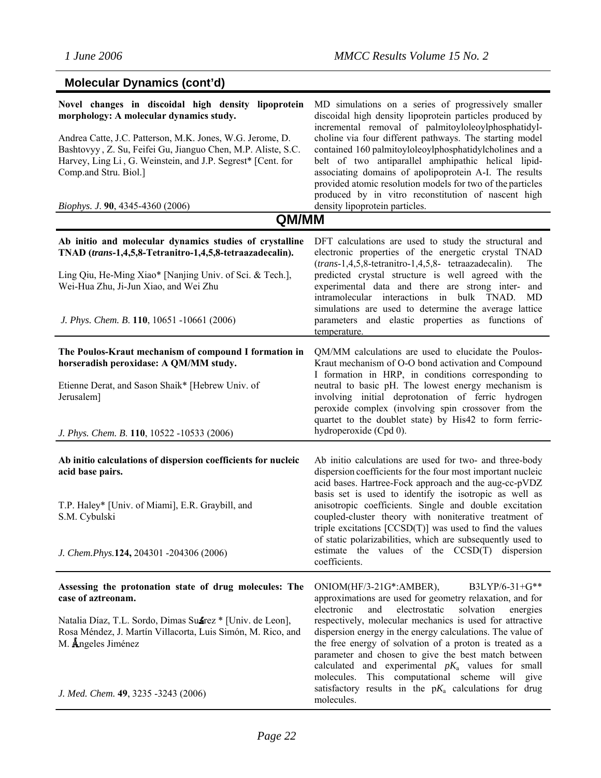| <b>Molecular Dynamics (cont'd)</b>                                                                                                                                                                                                                                                                                                                             |                                                                                                                                                                                                                                                                                                                                                                                                                                                                                                                                                                                                      |
|----------------------------------------------------------------------------------------------------------------------------------------------------------------------------------------------------------------------------------------------------------------------------------------------------------------------------------------------------------------|------------------------------------------------------------------------------------------------------------------------------------------------------------------------------------------------------------------------------------------------------------------------------------------------------------------------------------------------------------------------------------------------------------------------------------------------------------------------------------------------------------------------------------------------------------------------------------------------------|
| Novel changes in discoidal high density lipoprotein<br>morphology: A molecular dynamics study.<br>Andrea Catte, J.C. Patterson, M.K. Jones, W.G. Jerome, D.<br>Bashtovyy, Z. Su, Feifei Gu, Jianguo Chen, M.P. Aliste, S.C.<br>Harvey, Ling Li, G. Weinstein, and J.P. Segrest* [Cent. for<br>Comp.and Stru. Biol.]<br><i>Biophys. J.</i> 90, 4345-4360 (2006) | MD simulations on a series of progressively smaller<br>discoidal high density lipoprotein particles produced by<br>incremental removal of palmitoyloleoylphosphatidyl-<br>choline via four different pathways. The starting model<br>contained 160 palmitoyloleoylphosphatidylcholines and a<br>belt of two antiparallel amphipathic helical lipid-<br>associating domains of apolipoprotein A-I. The results<br>provided atomic resolution models for two of the particles<br>produced by in vitro reconstitution of nascent high<br>density lipoprotein particles.                                 |
| QM/MM                                                                                                                                                                                                                                                                                                                                                          |                                                                                                                                                                                                                                                                                                                                                                                                                                                                                                                                                                                                      |
| Ab initio and molecular dynamics studies of crystalline<br>TNAD (trans-1,4,5,8-Tetranitro-1,4,5,8-tetraazadecalin).<br>Ling Qiu, He-Ming Xiao* [Nanjing Univ. of Sci. & Tech.],<br>Wei-Hua Zhu, Ji-Jun Xiao, and Wei Zhu<br>J. Phys. Chem. B. 110, 10651 -10661 (2006)                                                                                         | DFT calculations are used to study the structural and<br>electronic properties of the energetic crystal TNAD<br>(trans-1,4,5,8-tetranitro-1,4,5,8-tetraazadecalin).<br>The<br>predicted crystal structure is well agreed with the<br>experimental data and there are strong inter- and<br>intramolecular interactions in bulk TNAD.<br>MD<br>simulations are used to determine the average lattice<br>parameters and elastic properties as functions of<br>temperature.                                                                                                                              |
| The Poulos-Kraut mechanism of compound I formation in<br>horseradish peroxidase: A QM/MM study.<br>Etienne Derat, and Sason Shaik* [Hebrew Univ. of<br>Jerusalem]<br>J. Phys. Chem. B. 110, 10522 -10533 (2006)                                                                                                                                                | QM/MM calculations are used to elucidate the Poulos-<br>Kraut mechanism of O-O bond activation and Compound<br>I formation in HRP, in conditions corresponding to<br>neutral to basic pH. The lowest energy mechanism is<br>involving initial deprotonation of ferric hydrogen<br>peroxide complex (involving spin crossover from the<br>quartet to the doublet state) by His42 to form ferric-<br>hydroperoxide (Cpd 0).                                                                                                                                                                            |
| Ab initio calculations of dispersion coefficients for nucleic<br>acid base pairs.<br>T.P. Haley* [Univ. of Miami], E.R. Graybill, and<br>S.M. Cybulski<br>J. Chem.Phys.124, 204301 -204306 (2006)                                                                                                                                                              | Ab initio calculations are used for two- and three-body<br>dispersion coefficients for the four most important nucleic<br>acid bases. Hartree-Fock approach and the aug-cc-pVDZ<br>basis set is used to identify the isotropic as well as<br>anisotropic coefficients. Single and double excitation<br>coupled-cluster theory with noniterative treatment of<br>triple excitations $[CCSD(T)]$ was used to find the values<br>of static polarizabilities, which are subsequently used to<br>estimate the values of the $CCSD(T)$<br>dispersion<br>coefficients.                                      |
| Assessing the protonation state of drug molecules: The<br>case of aztreonam.<br>Natalia Díaz, T.L. Sordo, Dimas Suarez * [Univ. de Leon],<br>Rosa Méndez, J. Martín Villacorta, Luis Simón, M. Rico, and<br>M. Angeles Jiménez<br>J. Med. Chem. 49, 3235 -3243 (2006)                                                                                          | B3LYP/6-31+G**<br>ONIOM(HF/3-21G*:AMBER),<br>approximations are used for geometry relaxation, and for<br>electronic<br>electrostatic<br>and<br>solvation<br>energies<br>respectively, molecular mechanics is used for attractive<br>dispersion energy in the energy calculations. The value of<br>the free energy of solvation of a proton is treated as a<br>parameter and chosen to give the best match between<br>calculated and experimental $pK_a$ values for small<br>molecules. This computational scheme will give<br>satisfactory results in the $pK_a$ calculations for drug<br>molecules. |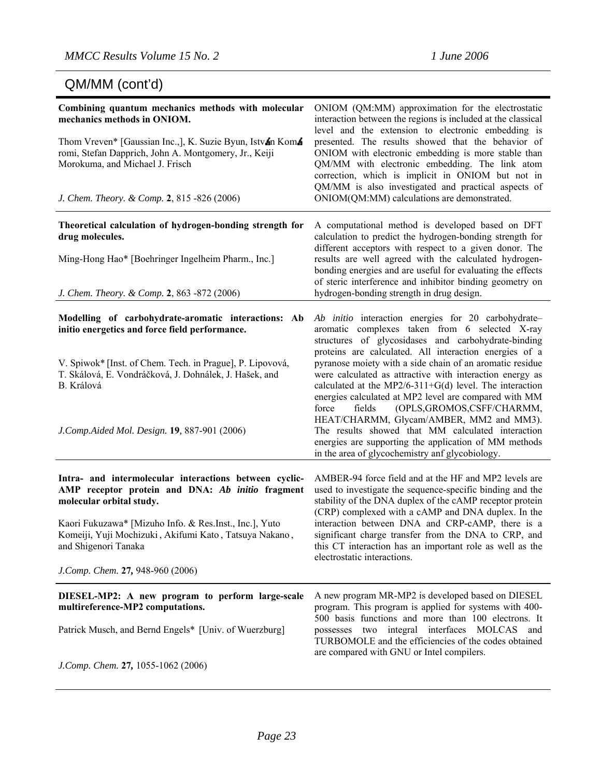### QM/MM (cont'd)

| Combining quantum mechanics methods with molecular<br>mechanics methods in ONIOM.<br>Thom Vreven* [Gaussian Inc.,], K. Suzie Byun, Istvan Koma<br>romi, Stefan Dapprich, John A. Montgomery, Jr., Keiji<br>Morokuma, and Michael J. Frisch<br>J. Chem. Theory. & Comp. 2, 815 -826 (2006)                              | ONIOM (QM:MM) approximation for the electrostatic<br>interaction between the regions is included at the classical<br>level and the extension to electronic embedding is<br>presented. The results showed that the behavior of<br>ONIOM with electronic embedding is more stable than<br>QM/MM with electronic embedding. The link atom<br>correction, which is implicit in ONIOM but not in<br>QM/MM is also investigated and practical aspects of<br>ONIOM(QM:MM) calculations are demonstrated.                                                                                                                                                                                                                                 |
|------------------------------------------------------------------------------------------------------------------------------------------------------------------------------------------------------------------------------------------------------------------------------------------------------------------------|-----------------------------------------------------------------------------------------------------------------------------------------------------------------------------------------------------------------------------------------------------------------------------------------------------------------------------------------------------------------------------------------------------------------------------------------------------------------------------------------------------------------------------------------------------------------------------------------------------------------------------------------------------------------------------------------------------------------------------------|
| Theoretical calculation of hydrogen-bonding strength for<br>drug molecules.<br>Ming-Hong Hao* [Boehringer Ingelheim Pharm., Inc.]<br>J. Chem. Theory. & Comp. 2, 863 -872 (2006)                                                                                                                                       | A computational method is developed based on DFT<br>calculation to predict the hydrogen-bonding strength for<br>different acceptors with respect to a given donor. The<br>results are well agreed with the calculated hydrogen-<br>bonding energies and are useful for evaluating the effects<br>of steric interference and inhibitor binding geometry on<br>hydrogen-bonding strength in drug design.                                                                                                                                                                                                                                                                                                                            |
| Modelling of carbohydrate-aromatic interactions: Ab<br>initio energetics and force field performance.<br>V. Spiwok* [Inst. of Chem. Tech. in Prague], P. Lipovová,<br>T. Skálová, E. Vondráčková, J. Dohnálek, J. Hašek, and<br>B. Králová<br>J.Comp.Aided Mol. Design. 19, 887-901 (2006)                             | Ab initio interaction energies for 20 carbohydrate-<br>aromatic complexes taken from 6 selected X-ray<br>structures of glycosidases and carbohydrate-binding<br>proteins are calculated. All interaction energies of a<br>pyranose moiety with a side chain of an aromatic residue<br>were calculated as attractive with interaction energy as<br>calculated at the MP2/6-311+G(d) level. The interaction<br>energies calculated at MP2 level are compared with MM<br>(OPLS, GROMOS, CSFF/CHARMM,<br>fields<br>force<br>HEAT/CHARMM, Glycam/AMBER, MM2 and MM3).<br>The results showed that MM calculated interaction<br>energies are supporting the application of MM methods<br>in the area of glycochemistry anf glycobiology. |
| Intra- and intermolecular interactions between cyclic-<br>AMP receptor protein and DNA: Ab initio fragment<br>molecular orbital study.<br>Kaori Fukuzawa* [Mizuho Info. & Res.Inst., Inc.], Yuto<br>Komeiji, Yuji Mochizuki, Akifumi Kato, Tatsuya Nakano,<br>and Shigenori Tanaka<br>J.Comp. Chem. 27, 948-960 (2006) | AMBER-94 force field and at the HF and MP2 levels are<br>used to investigate the sequence-specific binding and the<br>stability of the DNA duplex of the cAMP receptor protein<br>(CRP) complexed with a cAMP and DNA duplex. In the<br>interaction between DNA and CRP-cAMP, there is a<br>significant charge transfer from the DNA to CRP, and<br>this CT interaction has an important role as well as the<br>electrostatic interactions.                                                                                                                                                                                                                                                                                       |
| DIESEL-MP2: A new program to perform large-scale<br>multireference-MP2 computations.<br>Patrick Musch, and Bernd Engels* [Univ. of Wuerzburg]<br>J.Comp. Chem. 27, 1055-1062 (2006)                                                                                                                                    | A new program MR-MP2 is developed based on DIESEL<br>program. This program is applied for systems with 400-<br>500 basis functions and more than 100 electrons. It<br>possesses two integral interfaces<br><b>MOLCAS</b><br>and<br>TURBOMOLE and the efficiencies of the codes obtained<br>are compared with GNU or Intel compilers.                                                                                                                                                                                                                                                                                                                                                                                              |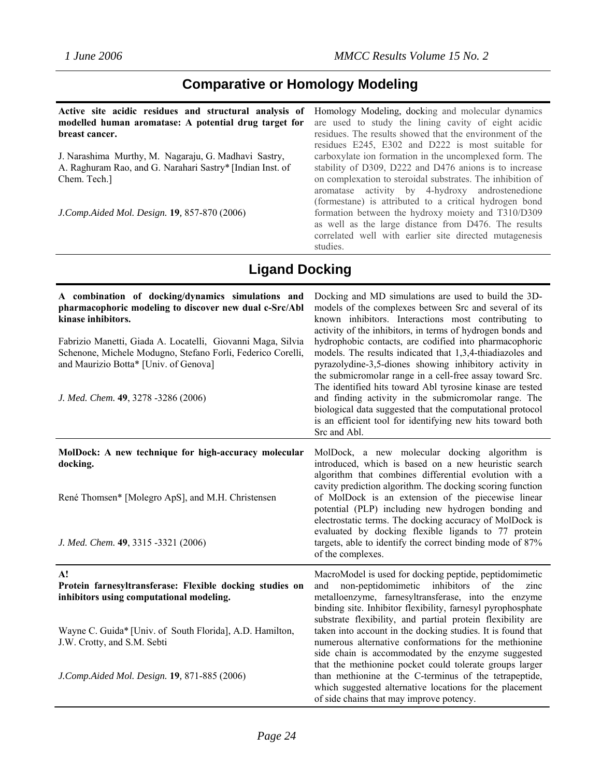### **Comparative or Homology Modeling**

**Active site acidic residues and structural analysis of modelled human aromatase: A potential drug target for breast cancer.** 

J. Narashima Murthy, M. Nagaraju, G. Madhavi Sastry, A. Raghuram Rao, and G. Narahari Sastry\* [Indian Inst. of Chem. Tech.]

*J.Comp.Aided Mol. Design.* **19***,* 857-870 (2006)

Homology Modeling, docking and molecular dynamics are used to study the lining cavity of eight acidic residues. The results showed that the environment of the residues E245, E302 and D222 is most suitable for carboxylate ion formation in the uncomplexed form. The stability of D309, D222 and D476 anions is to increase on complexation to steroidal substrates. The inhibition of aromatase activity by 4-hydroxy androstenedione (formestane) is attributed to a critical hydrogen bond formation between the hydroxy moiety and T310/D309 as well as the large distance from D476. The results correlated well with earlier site directed mutagenesis studies.

### **Ligand Docking**

| A combination of docking/dynamics simulations and<br>pharmacophoric modeling to discover new dual c-Src/Abl<br>kinase inhibitors.<br>Fabrizio Manetti, Giada A. Locatelli, Giovanni Maga, Silvia<br>Schenone, Michele Modugno, Stefano Forli, Federico Corelli,<br>and Maurizio Botta* [Univ. of Genova]<br>J. Med. Chem. 49, 3278 -3286 (2006) | Docking and MD simulations are used to build the 3D-<br>models of the complexes between Src and several of its<br>known inhibitors. Interactions most contributing to<br>activity of the inhibitors, in terms of hydrogen bonds and<br>hydrophobic contacts, are codified into pharmacophoric<br>models. The results indicated that 1,3,4-thiadiazoles and<br>pyrazolydine-3,5-diones showing inhibitory activity in<br>the submicromolar range in a cell-free assay toward Src.<br>The identified hits toward Abl tyrosine kinase are tested<br>and finding activity in the submicromolar range. The<br>biological data suggested that the computational protocol<br>is an efficient tool for identifying new hits toward both<br>Src and Abl. |
|-------------------------------------------------------------------------------------------------------------------------------------------------------------------------------------------------------------------------------------------------------------------------------------------------------------------------------------------------|-------------------------------------------------------------------------------------------------------------------------------------------------------------------------------------------------------------------------------------------------------------------------------------------------------------------------------------------------------------------------------------------------------------------------------------------------------------------------------------------------------------------------------------------------------------------------------------------------------------------------------------------------------------------------------------------------------------------------------------------------|
| MolDock: A new technique for high-accuracy molecular<br>docking.<br>René Thomsen* [Molegro ApS], and M.H. Christensen                                                                                                                                                                                                                           | MolDock, a new molecular docking algorithm is<br>introduced, which is based on a new heuristic search<br>algorithm that combines differential evolution with a<br>cavity prediction algorithm. The docking scoring function<br>of MolDock is an extension of the piecewise linear<br>potential (PLP) including new hydrogen bonding and<br>electrostatic terms. The docking accuracy of MolDock is<br>evaluated by docking flexible ligands to 77 protein                                                                                                                                                                                                                                                                                       |
| J. Med. Chem. 49, 3315 -3321 (2006)                                                                                                                                                                                                                                                                                                             | targets, able to identify the correct binding mode of 87%<br>of the complexes.                                                                                                                                                                                                                                                                                                                                                                                                                                                                                                                                                                                                                                                                  |
| A!<br>Protein farnesyltransferase: Flexible docking studies on<br>inhibitors using computational modeling.                                                                                                                                                                                                                                      | MacroModel is used for docking peptide, peptidomimetic<br>non-peptidomimetic<br>inhibitors<br>of the<br>zinc<br>and<br>metalloenzyme, farnesyltransferase, into the enzyme<br>binding site. Inhibitor flexibility, farnesyl pyrophosphate<br>substrate flexibility, and partial protein flexibility are                                                                                                                                                                                                                                                                                                                                                                                                                                         |
| Wayne C. Guida* [Univ. of South Florida], A.D. Hamilton,<br>J.W. Crotty, and S.M. Sebti                                                                                                                                                                                                                                                         | taken into account in the docking studies. It is found that<br>numerous alternative conformations for the methionine<br>side chain is accommodated by the enzyme suggested<br>that the methionine pocket could tolerate groups larger                                                                                                                                                                                                                                                                                                                                                                                                                                                                                                           |
| J.Comp.Aided Mol. Design. 19, 871-885 (2006)                                                                                                                                                                                                                                                                                                    | than methionine at the C-terminus of the tetrapeptide,<br>which suggested alternative locations for the placement<br>of side chains that may improve potency.                                                                                                                                                                                                                                                                                                                                                                                                                                                                                                                                                                                   |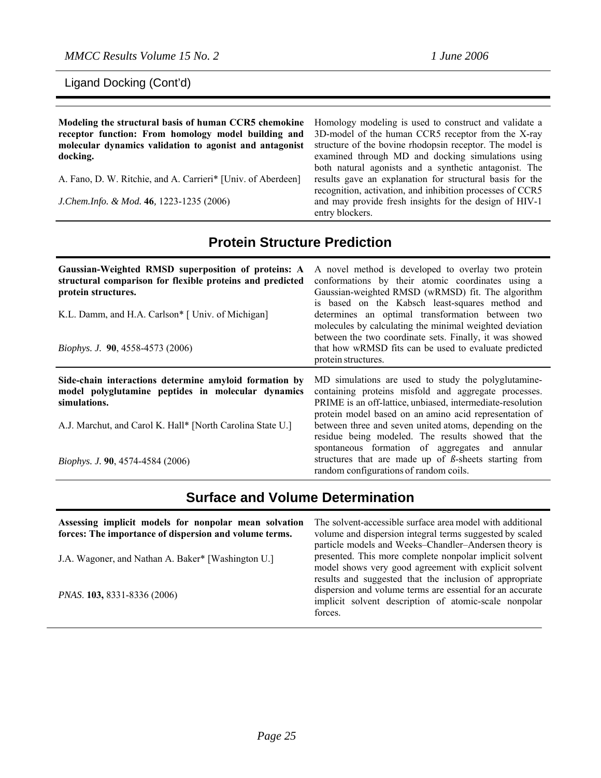*MMCC Results Volume 15 No. 2* 1 *June 2006* 

Ligand Docking (Cont'd)

**Modeling the structural basis of human CCR5 chemokine receptor function: From homology model building and molecular dynamics validation to agonist and antagonist docking.** 

A. Fano, D. W. Ritchie, and A. Carrieri\* [Univ. of Aberdeen]

*J.Chem.Info. & Mod.* **46***,* 1223-1235 (2006)

Homology modeling is used to construct and validate a 3D-model of the human CCR5 receptor from the X-ray structure of the bovine rhodopsin receptor. The model is examined through MD and docking simulations using both natural agonists and a synthetic antagonist. The results gave an explanation for structural basis for the recognition, activation, and inhibition processes of CCR5 and may provide fresh insights for the design of HIV-1 entry blockers.

# **Protein Structure Prediction**

| Gaussian-Weighted RMSD superposition of proteins: A<br>structural comparison for flexible proteins and predicted<br>protein structures.<br>K.L. Damm, and H.A. Carlson* [ Univ. of Michigan] | A novel method is developed to overlay two protein<br>conformations by their atomic coordinates using a<br>Gaussian-weighted RMSD (wRMSD) fit. The algorithm<br>is based on the Kabsch least-squares method and<br>determines an optimal transformation between two<br>molecules by calculating the minimal weighted deviation                      |
|----------------------------------------------------------------------------------------------------------------------------------------------------------------------------------------------|-----------------------------------------------------------------------------------------------------------------------------------------------------------------------------------------------------------------------------------------------------------------------------------------------------------------------------------------------------|
| <i>Biophys. J.</i> 90, 4558-4573 (2006)                                                                                                                                                      | between the two coordinate sets. Finally, it was showed<br>that how wRMSD fits can be used to evaluate predicted<br>protein structures.                                                                                                                                                                                                             |
|                                                                                                                                                                                              |                                                                                                                                                                                                                                                                                                                                                     |
| Side-chain interactions determine amyloid formation by<br>model polyglutamine peptides in molecular dynamics<br>simulations.<br>A.J. Marchut, and Carol K. Hall* [North Carolina State U.]   | MD simulations are used to study the polyglutamine-<br>containing proteins misfold and aggregate processes.<br>PRIME is an off-lattice, unbiased, intermediate-resolution<br>protein model based on an amino acid representation of<br>between three and seven united atoms, depending on the<br>residue being modeled. The results showed that the |

### **Surface and Volume Determination**

| Assessing implicit models for nonpolar mean solvation<br>forces: The importance of dispersion and volume terms. | The solvent-accessible surface area model with additional<br>volume and dispersion integral terms suggested by scaled<br>particle models and Weeks-Chandler-Andersen theory is |
|-----------------------------------------------------------------------------------------------------------------|--------------------------------------------------------------------------------------------------------------------------------------------------------------------------------|
| J.A. Wagoner, and Nathan A. Baker* [Washington U.]                                                              | presented. This more complete nonpolar implicit solvent<br>model shows very good agreement with explicit solvent<br>results and suggested that the inclusion of appropriate    |
| <i>PNAS.</i> <b>103,</b> 8331-8336 (2006)                                                                       | dispersion and volume terms are essential for an accurate<br>implicit solvent description of atomic-scale nonpolar<br>forces.                                                  |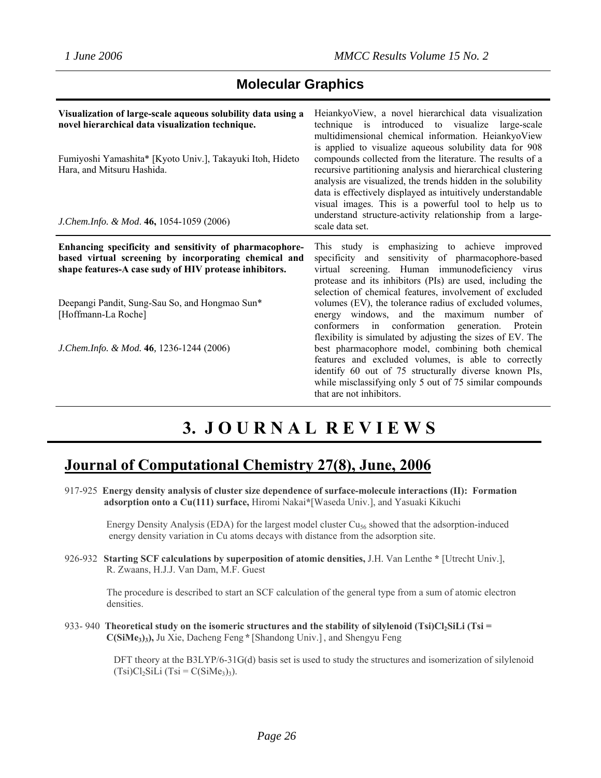### **Molecular Graphics**

| Visualization of large-scale aqueous solubility data using a<br>novel hierarchical data visualization technique.<br>Fumiyoshi Yamashita* [Kyoto Univ.], Takayuki Itoh, Hideto<br>Hara, and Mitsuru Hashida.<br>J.Chem.Info. & Mod. 46, 1054-1059 (2006) | Heiankyo View, a novel hierarchical data visualization<br>technique is introduced to visualize large-scale<br>multidimensional chemical information. HeiankyoView<br>is applied to visualize aqueous solubility data for 908<br>compounds collected from the literature. The results of a<br>recursive partitioning analysis and hierarchical clustering<br>analysis are visualized, the trends hidden in the solubility<br>data is effectively displayed as intuitively understandable<br>visual images. This is a powerful tool to help us to<br>understand structure-activity relationship from a large-<br>scale data set. |
|---------------------------------------------------------------------------------------------------------------------------------------------------------------------------------------------------------------------------------------------------------|--------------------------------------------------------------------------------------------------------------------------------------------------------------------------------------------------------------------------------------------------------------------------------------------------------------------------------------------------------------------------------------------------------------------------------------------------------------------------------------------------------------------------------------------------------------------------------------------------------------------------------|
| Enhancing specificity and sensitivity of pharmacophore-<br>based virtual screening by incorporating chemical and<br>shape features-A case sudy of HIV protease inhibitors.                                                                              | This study is emphasizing to achieve improved<br>specificity and sensitivity of pharmacophore-based<br>virtual screening. Human immunodeficiency virus<br>protease and its inhibitors (PIs) are used, including the<br>selection of chemical features, involvement of excluded                                                                                                                                                                                                                                                                                                                                                 |
| Deepangi Pandit, Sung-Sau So, and Hongmao Sun*<br>[Hoffmann-La Roche]                                                                                                                                                                                   | volumes (EV), the tolerance radius of excluded volumes,<br>energy windows, and the maximum number of<br>conformers in conformation generation. Protein<br>flexibility is simulated by adjusting the sizes of EV. The                                                                                                                                                                                                                                                                                                                                                                                                           |
| J. Chem. Info. & Mod. 46, 1236-1244 (2006)                                                                                                                                                                                                              | best pharmacophore model, combining both chemical<br>features and excluded volumes, is able to correctly<br>identify 60 out of 75 structurally diverse known PIs,<br>while misclassifying only 5 out of 75 similar compounds<br>that are not inhibitors.                                                                                                                                                                                                                                                                                                                                                                       |

# **3. J O U R N A L R E V I E W S**

## **Journal of Computational Chemistry 27(8), June, 2006**

917-925 **Energy density analysis of cluster size dependence of surface-molecule interactions (II): Formation adsorption onto a Cu(111) surface,** Hiromi Nakai**\***[Waseda Univ.], and Yasuaki Kikuchi

Energy Density Analysis (EDA) for the largest model cluster Cu<sub>56</sub> showed that the adsorption-induced energy density variation in Cu atoms decays with distance from the adsorption site.

926-932 **Starting SCF calculations by superposition of atomic densities,** J.H. Van Lenthe **\*** [Utrecht Univ.], R. Zwaans, H.J.J. Van Dam, M.F. Guest

The procedure is described to start an SCF calculation of the general type from a sum of atomic electron densities.

933- 940 **Theoretical study on the isomeric structures and the stability of silylenoid (Tsi)Cl<sub>2</sub>SiLi (Tsi = C(SiMe3)3),** Ju Xie, Dacheng Feng **\*** [Shandong Univ.], and Shengyu Feng

> DFT theory at the B3LYP/6-31G(d) basis set is used to study the structures and isomerization of silylenoid  $(Tsi)Cl<sub>2</sub>SiLi (Tsi = C(SiMe<sub>3</sub>)<sub>3</sub>).$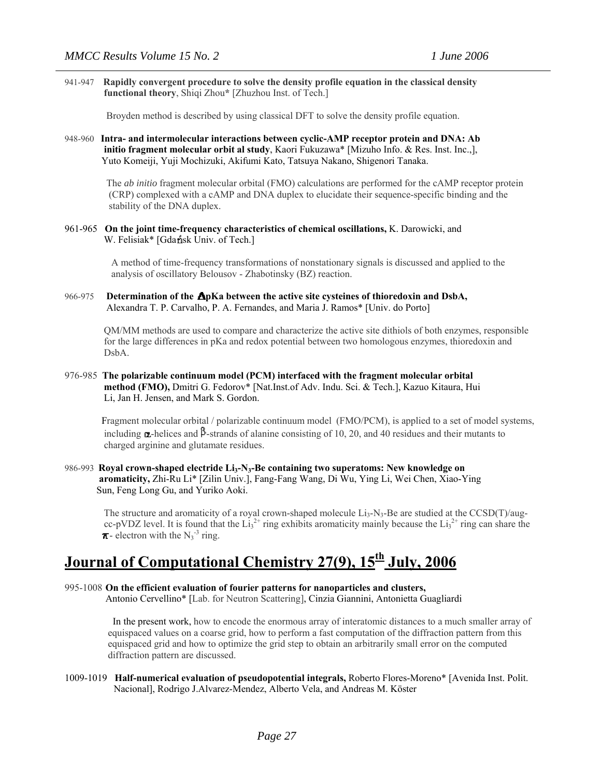941-947 **Rapidly convergent procedure to solve the density profile equation in the classical density functional theory**, Shiqi Zhou**\*** [Zhuzhou Inst. of Tech.]

Broyden method is described by using classical DFT to solve the density profile equation.

948-960 **Intra- and intermolecular interactions between cyclic-AMP receptor protein and DNA: Ab initio fragment molecular orbit al study**, Kaori Fukuzawa\* [Mizuho Info. & Res. Inst. Inc.,], Yuto Komeiji, Yuji Mochizuki, Akifumi Kato, Tatsuya Nakano, Shigenori Tanaka.

> The *ab initio* fragment molecular orbital (FMO) calculations are performed for the cAMP receptor protein (CRP) complexed with a cAMP and DNA duplex to elucidate their sequence-specific binding and the stability of the DNA duplex.

961-965 **On the joint time-frequency characteristics of chemical oscillations,** K. Darowicki, and W. Felisiak\* [Gdansk Univ. of Tech.]

> A method of time-frequency transformations of nonstationary signals is discussed and applied to the analysis of oscillatory Belousov - Zhabotinsky (BZ) reaction.

966-975 **Determination of the ApKa between the active site cysteines of thioredoxin and DsbA,** Alexandra T. P. Carvalho, P. A. Fernandes, and Maria J. Ramos\* [Univ. do Porto]

 QM/MM methods are used to compare and characterize the active site dithiols of both enzymes, responsible for the large differences in pKa and redox potential between two homologous enzymes, thioredoxin and DsbA.

976-985 **The polarizable continuum model (PCM) interfaced with the fragment molecular orbital method (FMO),** Dmitri G. Fedorov\* [Nat.Inst.of Adv. Indu. Sci. & Tech.], Kazuo Kitaura, Hui Li, Jan H. Jensen, and Mark S. Gordon.

 Fragment molecular orbital / polarizable continuum model (FMO/PCM), is applied to a set of model systems, including  $\alpha$ -helices and  $\beta$ -strands of alanine consisting of 10, 20, and 40 residues and their mutants to charged arginine and glutamate residues.

986-993 **Royal crown-shaped electride Li3-N3-Be containing two superatoms: New knowledge on aromaticity,** Zhi-Ru Li\* [Zilin Univ.], Fang-Fang Wang, Di Wu, Ying Li, Wei Chen, Xiao-Ying Sun, Feng Long Gu, and Yuriko Aoki.

The structure and aromaticity of a royal crown-shaped molecule  $Li<sub>3</sub>-N<sub>3</sub>-Be$  are studied at the CCSD(T)/augcc-pVDZ level. It is found that the  $Li_3^{2+}$  ring exhibits aromaticity mainly because the  $Li_3^{2+}$  ring can share the  $\pi$ - electron with the N<sub>3</sub><sup>-3</sup> ring.

# **Journal of Computational Chemistry 27(9), 15th July, 2006**

#### 995-1008 **On the efficient evaluation of fourier patterns for nanoparticles and clusters,**

Antonio Cervellino\* [Lab. for Neutron Scattering], Cinzia Giannini, Antonietta Guagliardi

 In the present work, how to encode the enormous array of interatomic distances to a much smaller array of equispaced values on a coarse grid, how to perform a fast computation of the diffraction pattern from this equispaced grid and how to optimize the grid step to obtain an arbitrarily small error on the computed diffraction pattern are discussed.

#### 1009-1019 **Half-numerical evaluation of pseudopotential integrals,** Roberto Flores-Moreno\* [Avenida Inst. Polit. Nacional], Rodrigo J.Alvarez-Mendez, Alberto Vela, and Andreas M. Köster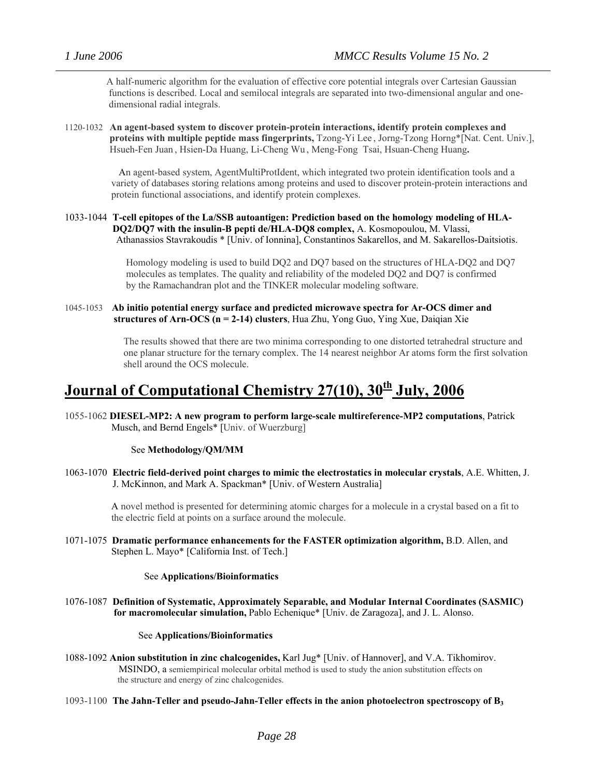A half-numeric algorithm for the evaluation of effective core potential integrals over Cartesian Gaussian functions is described. Local and semilocal integrals are separated into two-dimensional angular and one dimensional radial integrals.

1120-1032 **An agent-based system to discover protein-protein interactions, identify protein complexes and proteins with multiple peptide mass fingerprints,** Tzong-Yi Lee , Jorng-Tzong Horng\*[Nat. Cent. Univ.], Hsueh-Fen Juan , Hsien-Da Huang, Li-Cheng Wu , Meng-Fong Tsai, Hsuan-Cheng Huang**.**

 An agent-based system, AgentMultiProtIdent, which integrated two protein identification tools and a variety of databases storing relations among proteins and used to discover protein-protein interactions and protein functional associations, and identify protein complexes.

1033-1044 **T-cell epitopes of the La/SSB autoantigen: Prediction based on the homology modeling of HLA-DQ2/DQ7 with the insulin-B pepti de/HLA-DQ8 complex,** A. Kosmopoulou, M. Vlassi, Athanassios Stavrakoudis \* [Univ. of Ionnina], Constantinos Sakarellos, and M. Sakarellos-Daitsiotis.

> Homology modeling is used to build DQ2 and DQ7 based on the structures of HLA-DQ2 and DQ7 molecules as templates. The quality and reliability of the modeled DQ2 and DQ7 is confirmed by the Ramachandran plot and the TINKER molecular modeling software.

1045-1053 **Ab initio potential energy surface and predicted microwave spectra for Ar-OCS dimer and structures of Arn-OCS (n = 2-14) clusters**, Hua Zhu, Yong Guo, Ying Xue, Daiqian Xie

> The results showed that there are two minima corresponding to one distorted tetrahedral structure and one planar structure for the ternary complex. The 14 nearest neighbor Ar atoms form the first solvation shell around the OCS molecule.

# **Journal of Computational Chemistry 27(10), 30th July, 2006**

1055-1062 **DIESEL-MP2: A new program to perform large-scale multireference-MP2 computations**, Patrick Musch, and Bernd Engels\* [Univ. of Wuerzburg]

See **Methodology/QM/MM**

1063-1070 **Electric field-derived point charges to mimic the electrostatics in molecular crystals**, A.E. Whitten, J. J. McKinnon, and Mark A. Spackman\* [Univ. of Western Australia]

 A novel method is presented for determining atomic charges for a molecule in a crystal based on a fit to the electric field at points on a surface around the molecule.

1071-1075 **Dramatic performance enhancements for the FASTER optimization algorithm,** B.D. Allen, and Stephen L. Mayo\* [California Inst. of Tech.]

#### See **Applications/Bioinformatics**

1076-1087 **Definition of Systematic, Approximately Separable, and Modular Internal Coordinates (SASMIC) for macromolecular simulation,** Pablo Echenique\* [Univ. de Zaragoza], and J. L. Alonso.

#### See **Applications/Bioinformatics**

- 1088-1092 **Anion substitution in zinc chalcogenides,** Karl Jug\* [Univ. of Hannover], and V.A. Tikhomirov. MSINDO, a semiempirical molecular orbital method is used to study the anion substitution effects on the structure and energy of zinc chalcogenides.
- 1093-1100 **The Jahn-Teller and pseudo-Jahn-Teller effects in the anion photoelectron spectroscopy of B3**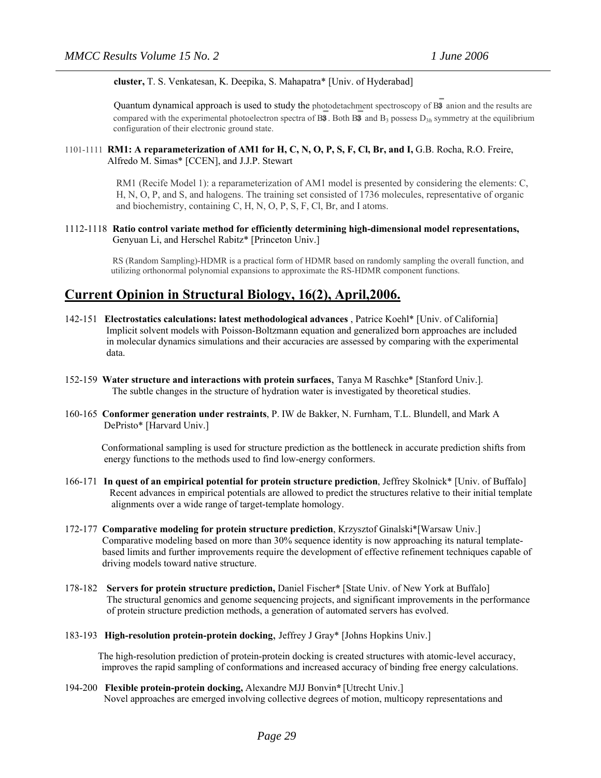#### **cluster,** T. S. Venkatesan, K. Deepika, S. Mahapatra\* [Univ. of Hyderabad]

Quantum dynamical approach is used to study the photodetachment spectroscopy of B<sup>3</sup> anion and the results are compared with the experimental photoelectron spectra of B3. Both B3 and  $B_3$  possess  $D_{3h}$  symmetry at the equilibrium configuration of their electronic ground state.

### 1101-1111 **RM1: A reparameterization of AM1 for H, C, N, O, P, S, F, Cl, Br, and I,** G.B. Rocha, R.O. Freire, Alfredo M. Simas\* [CCEN], and J.J.P. Stewart

RM1 (Recife Model 1): a reparameterization of AM1 model is presented by considering the elements: C, H, N, O, P, and S, and halogens. The training set consisted of 1736 molecules, representative of organic and biochemistry, containing C, H, N, O, P, S, F, Cl, Br, and I atoms.

#### 1112-1118 **Ratio control variate method for efficiently determining high-dimensional model representations,**  Genyuan Li, and Herschel Rabitz\* [Princeton Univ.]

RS (Random Sampling)-HDMR is a practical form of HDMR based on randomly sampling the overall function, and utilizing orthonormal polynomial expansions to approximate the RS-HDMR component functions.

### **Current Opinion in Structural Biology, 16(2), April,2006.**

- 142-151 **Electrostatics calculations: latest methodological advances** , Patrice Koehl\* [Univ. of California] Implicit solvent models with Poisson-Boltzmann equation and generalized born approaches are included in molecular dynamics simulations and their accuracies are assessed by comparing with the experimental data.
- 152-159 **Water structure and interactions with protein surfaces**, Tanya M Raschke\* [Stanford Univ.]. The subtle changes in the structure of hydration water is investigated by theoretical studies.
- 160-165 **Conformer generation under restraints**, P. IW de Bakker, N. Furnham, T.L. Blundell, and Mark A DePristo\* [Harvard Univ.]

 Conformational sampling is used for structure prediction as the bottleneck in accurate prediction shifts from energy functions to the methods used to find low-energy conformers.

- 166-171 **In quest of an empirical potential for protein structure prediction**, Jeffrey Skolnick\* [Univ. of Buffalo] Recent advances in empirical potentials are allowed to predict the structures relative to their initial template alignments over a wide range of target-template homology.
- 172-177 **Comparative modeling for protein structure prediction**, Krzysztof Ginalski\*[Warsaw Univ.] Comparative modeling based on more than 30% sequence identity is now approaching its natural templatebased limits and further improvements require the development of effective refinement techniques capable of driving models toward native structure.
- 178-182 **Servers for protein structure prediction,** Daniel Fischer**\*** [State Univ. of New York at Buffalo] The structural genomics and genome sequencing projects, and significant improvements in the performance of protein structure prediction methods, a generation of automated servers has evolved.
- 183-193 **High-resolution protein-protein docking**, Jeffrey J Gray\* [Johns Hopkins Univ.]

 The high-resolution prediction of protein-protein docking is created structures with atomic-level accuracy, improves the rapid sampling of conformations and increased accuracy of binding free energy calculations.

194-200 **Flexible protein-protein docking,** Alexandre MJJ Bonvin**\*** [Utrecht Univ.] Novel approaches are emerged involving collective degrees of motion, multicopy representations and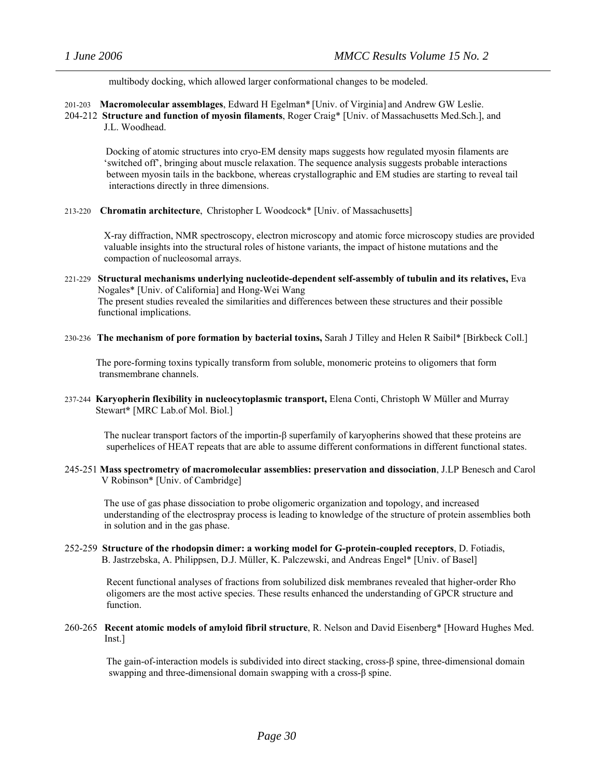multibody docking, which allowed larger conformational changes to be modeled.

201-203 **Macromolecular assemblages**, Edward H [Egelman](http://www.sciencedirect.com/science?_ob=ArticleURL&_udi=B6VS6-4JKHM28-2&_user=10&_handle=V-WA-A-W-WA-MsSAYZW-UUW-U-AACBUBAVCE-AACUZAWWCE-EVABDCAVC-WA-U&_fmt=summary&_coverDate=04%2F30%2F2006&_rdoc=13&_orig=browse&_srch=%23toc%236254%232006%23999839997%23620701!&_cdi=6254&view=c&_acct=C000050221&_version=1&_urlVersion=0&_userid=10&md5=42111752bbbc7e1fe2570d3c474c8f06#vt1#vt1)\* [Univ. of Virginia] and Andrew GW [Leslie.](http://www.sciencedirect.com/science?_ob=ArticleURL&_udi=B6VS6-4JKHM28-2&_user=10&_handle=V-WA-A-W-WA-MsSAYZW-UUW-U-AACBUBAVCE-AACUZAWWCE-EVABDCAVC-WA-U&_fmt=summary&_coverDate=04%2F30%2F2006&_rdoc=13&_orig=browse&_srch=%23toc%236254%232006%23999839997%23620701!&_cdi=6254&view=c&_acct=C000050221&_version=1&_urlVersion=0&_userid=10&md5=42111752bbbc7e1fe2570d3c474c8f06#vt2#vt2)

204-212 **Structure and function of myosin filaments**, Roger Craig\* [Univ. of Massachusetts Med.Sch.], and J.L. Woodhead.

 Docking of atomic structures into cryo-EM density maps suggests how regulated myosin filaments are 'switched off', bringing about muscle relaxation. The sequence analysis suggests probable interactions between myosin tails in the backbone, whereas crystallographic and EM studies are starting to reveal tail interactions directly in three dimensions.

213-220 **Chromatin architecture**, Christopher L Woodcock\* [Univ. of Massachusetts]

 X-ray diffraction, NMR spectroscopy, electron microscopy and atomic force microscopy studies are provided valuable insights into the structural roles of histone variants, the impact of histone mutations and the compaction of nucleosomal arrays.

- 221-229 **Structural mechanisms underlying nucleotide-dependent self-assembly of tubulin and its relatives,** Eva Nogales\* [Univ. of California] and Hong-Wei Wang The present studies revealed the similarities and differences between these structures and their possible functional implications.
- 230-236 **The mechanism of pore formation by bacterial toxins,** Sarah J Tilley and Helen R Saibil\* [Birkbeck Coll.]

 The pore-forming toxins typically transform from soluble, monomeric proteins to oligomers that form transmembrane channels.

237-244 **Karyopherin flexibility in nucleocytoplasmic transport,** Elena Conti, Christoph W Müller and Murray Stewart**\*** [MRC Lab.of Mol. Biol.]

 The nuclear transport factors of the importin-β superfamily of karyopherins showed that these proteins are superhelices of HEAT repeats that are able to assume different conformations in different functional states.

245-251 **Mass spectrometry of macromolecular assemblies: preservation and dissociation**, J.LP Benesch and Carol V Robinson\* [Univ. of Cambridge]

 The use of gas phase dissociation to probe oligomeric organization and topology, and increased understanding of the electrospray process is leading to knowledge of the structure of protein assemblies both in solution and in the gas phase.

252-259 **Structure of the rhodopsin dimer: a working model for G-protein-coupled receptors**, D. Fotiadis, B. Jastrzebska, A. Philippsen, D.J. Müller, K. Palczewski, and Andreas Engel\* [Univ. of Basel]

 Recent functional analyses of fractions from solubilized disk membranes revealed that higher-order Rho oligomers are the most active species. These results enhanced the understanding of GPCR structure and function.

260-265 **Recent atomic models of amyloid fibril structure**, R. Nelson and David Eisenberg\* [Howard Hughes Med. Inst.]

 The gain-of-interaction models is subdivided into direct stacking, cross-β spine, three-dimensional domain swapping and three-dimensional domain swapping with a cross-β spine.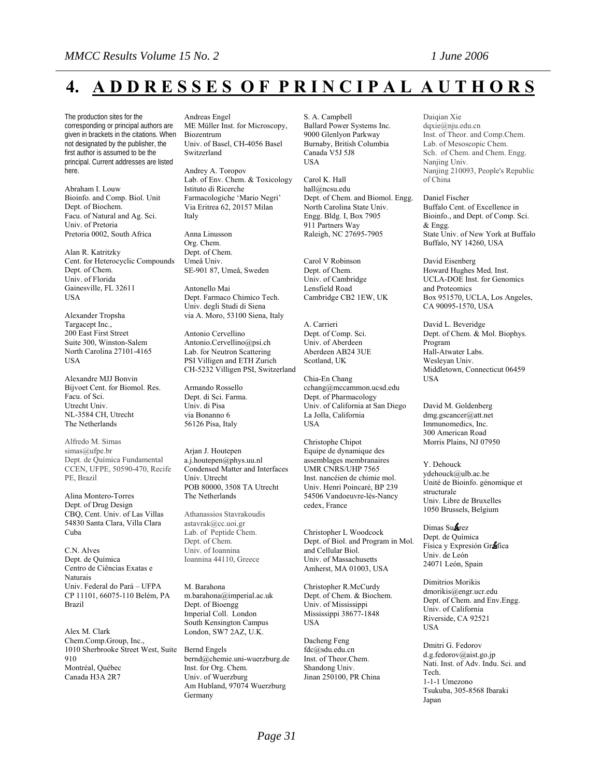# **4. A D D R E S S E S O F P R I N C I P A L A U T H O R S**

The production sites for the corresponding or principal authors are given in brackets in the citations. When not designated by the publisher, the first author is assumed to be the principal. Current addresses are listed here.

Abraham I. Louw Bioinfo. and Comp. Biol. Unit Dept. of Biochem. Facu. of Natural and Ag. Sci. Univ. of Pretoria Pretoria 0002, South Africa

Alan R. Katritzky Cent. for Heterocyclic Compounds Dept. of Chem. Univ. of Florida Gainesville, FL 32611 USA

Alexander Tropsha Targacept Inc., 200 East First Street Suite 300, Winston-Salem North Carolina 27101-4165 **USA** 

Alexandre MJJ Bonvin Bijvoet Cent. for Biomol. Res. Facu. of Sci. Utrecht Univ. NL-3584 CH, Utrecht The Netherlands

Alfredo M. Simas [simas@ufpe.br](mailto:simas@ufpe.br) Dept. de Química Fundamental CCEN, UFPE, 50590-470, Recife PE, Brazil

Alina Montero-Torres Dept. of Drug Design CBQ, Cent. Univ. of Las Villas 54830 Santa Clara, Villa Clara Cuba

C.N. Alves Dept. de Química Centro de Ciências Exatas e Naturais Univ. Federal do Pará – UFPA CP 11101, 66075-110 Belém, PA Brazil

Alex M. Clark Chem.Comp.Group, Inc., 1010 Sherbrooke Street West, Suite 910 Montréal, Québec Canada H3A 2R7

Andreas Engel ME Müller Inst. for Microscopy, Biozentrum Univ. of Basel, CH-4056 Basel Switzerland

Andrey A. Toropov Lab. of Env. Chem. & Toxicology Istituto di Ricerche Farmacologiche 'Mario Negri' Via Eritrea 62, 20157 Milan Italy

Anna Linusson Org. Chem. Dept. of Chem. Umeå Univ. SE-901 87, Umeå, Sweden

Antonello Mai Dept. Farmaco Chimico Tech. Univ. degli Studi di Siena via A. Moro, 53100 Siena, Italy

Antonio Cervellino [Antonio.Cervellino@psi.ch](mailto:Antonio.Cervellino@psi.ch) Lab. for Neutron Scattering PSI Villigen and ETH Zurich CH-5232 Villigen PSI, Switzerland

Armando Rossello Dept. di Sci. Farma. Univ. di Pisa via Bonanno 6 56126 Pisa, Italy

Arjan J. Houtepen [a.j.houtepen@phys.uu.nl](mailto:a.j.houtepen@phys.uu.nl) Condensed Matter and Interfaces Univ. Utrecht POB 80000, 3508 TA Utrecht The Netherlands

Athanassios Stavrakoudis [astavrak@cc.uoi.gr](mailto:astavrak@cc.uoi.gr) Lab. of Peptide Chem. Dept. of Chem. Univ. of Ioannina Ioannina 44110, Greece

M. Barahona [m.barahona@imperial.ac.uk](mailto:m.barahona@imperial.ac.uk) Dept. of Bioengg Imperial Coll. London South Kensington Campus London, SW7 2AZ, U.K.

Bernd Engels [bernd@chemie.uni-wuerzburg.de](mailto:bernd@chemie.uni-wuerzburg.de) Inst. for Org. Chem. Univ. of Wuerzburg Am Hubland, 97074 Wuerzburg Germany

S. A. Campbell Ballard Power Systems Inc. 9000 Glenlyon Parkway Burnaby, British Columbia Canada V5J 5J8 USA

Carol K. Hall [hall@ncsu.edu](mailto:hall@ncsu.edu) Dept. of Chem. and Biomol. Engg. North Carolina State Univ. Engg. Bldg. I, Box 7905 911 Partners Way Raleigh, NC 27695-7905

Carol V Robinson Dept. of Chem. Univ. of Cambridge Lensfield Road Cambridge CB2 1EW, UK

A. Carrieri Dept. of Comp. Sci. Univ. of Aberdeen Aberdeen AB24 3UE Scotland, UK

Chia-En Chang [cchang@mccammon.ucsd.edu](mailto:cchang@mccammon.ucsd.edu) Dept. of Pharmacology Univ. of California at San Diego La Jolla, California USA

Christophe Chipot Equipe de dynamique des assemblages membranaires UMR CNRS/UHP 7565 Inst. nancéien de chimie mol. Univ. Henri Poincaré, BP 239 54506 Vandoeuvre-lès-Nancy cedex, France

Christopher L Woodcock Dept. of Biol. and Program in Mol. and Cellular Biol. Univ. of Massachusetts Amherst, MA 01003, USA

Christopher R.McCurdy Dept. of Chem. & Biochem. Univ. of Mississippi Mississippi 38677-1848 USA

Dacheng Feng [fdc@sdu.edu.cn](mailto:fdc@sdu.edu.cn) Inst. of Theor.Chem. Shandong Univ. Jinan 250100, PR China Daiqian Xie [dqxie@nju.edu.cn](mailto:dqxie@nju.edu.cn) Inst. of Theor. and Comp.Chem. Lab. of Mesoscopic Chem. Sch. of Chem. and Chem. Engg. Nanjing Univ. Nanjing 210093, People's Republic of China

Daniel Fischer Buffalo Cent. of Excellence in Bioinfo., and Dept. of Comp. Sci. & Engg. State Univ. of New York at Buffalo Buffalo, NY 14260, USA

David Eisenberg Howard Hughes Med. Inst. UCLA-DOE Inst. for Genomics and Proteomics Box 951570, UCLA, Los Angeles, CA 90095-1570, USA

David L. Beveridge Dept. of Chem. & Mol. Biophys. Program Hall-Atwater Labs. Wesleyan Univ. Middletown, Connecticut 06459 USA

David M. Goldenberg [dmg.gscancer@att.net](mailto:dmg.gscancer@att.net)  Immunomedics, Inc. 300 American Road Morris Plains, NJ 07950

Y. Dehouck [ydehouck@ulb.ac.be](mailto:ydehouck@ulb.ac.be)  Unité de Bioinfo. génomique et structurale Univ. Libre de Bruxelles 1050 Brussels, Belgium

Dimas Su**Arez** Dept. de Química Física y Expresión Gr fica Univ. de León 24071 León, Spain

Dimitrios Morikis [dmorikis@engr.ucr.edu](mailto:dmorikis@engr.ucr.edu) Dept. of Chem. and Env.Engg. Univ. of California Riverside, CA 92521 USA

Dmitri G. Fedorov [d.g.fedorov@aist.go.jp](mailto:d.g.fedorov@aist.go.jp) Nati. Inst. of Adv. Indu. Sci. and Tech. 1-1-1 Umezono Tsukuba, 305-8568 Ibaraki Japan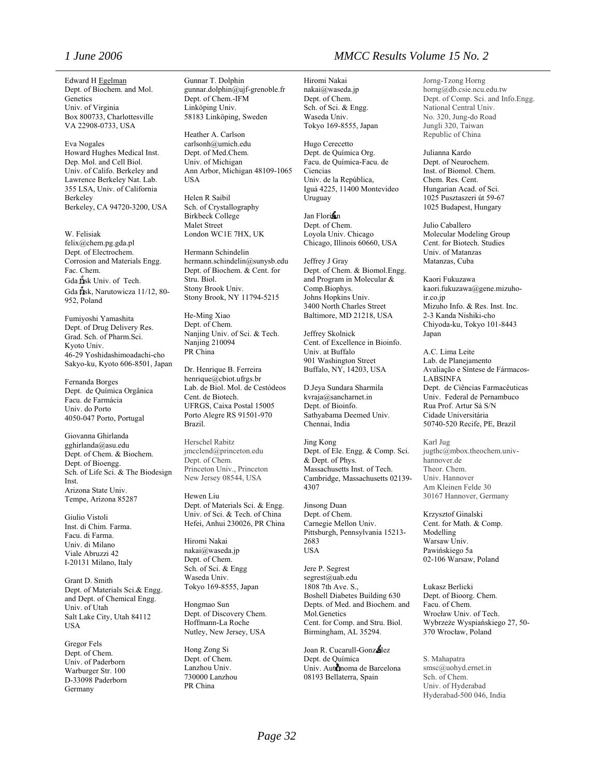Edward H [Egelman](http://www.sciencedirect.com/science?_ob=ArticleURL&_udi=B6VS6-4JKHM28-2&_user=10&_handle=V-WA-A-W-WA-MsSAYZW-UUW-U-AACBUBAVCE-AACUZAWWCE-EVABDCAVC-WA-U&_fmt=summary&_coverDate=04%2F30%2F2006&_rdoc=13&_orig=browse&_srch=%23toc%236254%232006%23999839997%23620701!&_cdi=6254&view=c&_acct=C000050221&_version=1&_urlVersion=0&_userid=10&md5=42111752bbbc7e1fe2570d3c474c8f06#vt1#vt1) Dept. of Biochem. and Mol. Genetics Univ. of Virginia Box 800733, Charlottesville VA 22908-0733, USA

Eva Nogales Howard Hughes Medical Inst. Dep. Mol. and Cell Biol. Univ. of Califo. Berkeley and Lawrence Berkeley Nat. Lab. 355 LSA, Univ. of California Berkeley Berkeley, CA 94720-3200, USA

W. Felisiak [felix@chem.pg.gda.pl](mailto:felix@chem.pg.gda.pl) Dept. of Electrochem. Corrosion and Materials Engg. Fac. Chem. Gda ilsk Univ. of Tech. Gda  $\overline{n}$ sk, Narutowicza 11/12, 80-952, Poland

Fumiyoshi Yamashita Dept. of Drug Delivery Res. Grad. Sch. of Pharm.Sci. Kyoto Univ. 46-29 Yoshidashimoadachi-cho Sakyo-ku, Kyoto 606-8501, Japan

Fernanda Borges Dept. de Química Orgânica Facu. de Farmácia Univ. do Porto 4050-047 Porto, Portugal

Giovanna Ghirlanda gghirlanda@asu.edu Dept. of Chem. & Biochem. Dept. of Bioengg. Sch. of Life Sci. & The Biodesign **Inst.** Arizona State Univ. Tempe, Arizona 85287

Giulio Vistoli Inst. di Chim. Farma. Facu. di Farma. Univ. di Milano Viale Abruzzi 42 I-20131 Milano, Italy

Grant D. Smith Dept. of Materials Sci.& Engg. and Dept. of Chemical Engg. Univ. of Utah Salt Lake City, Utah 84112 USA

Gregor Fels Dept. of Chem. Univ. of Paderborn Warburger Str. 100 D-33098 Paderborn Germany

Gunnar T. Dolphin gunnar.dolphin@ujf-grenoble.fr Dept. of Chem.-IFM Linköping Univ. 58183 Linköping, Sweden

Heather A. Carlson [carlsonh@umich.edu](mailto:carlsonh@umich.edu) Dept. of Med.Chem. Univ. of Michigan Ann Arbor, Michigan 48109-1065 **USA** 

Helen R Saibil Sch. of Crystallography Birkbeck College Malet Street London WC1E 7HX, UK

Hermann Schindelin [hermann.schindelin@sunysb.edu](mailto:hermann.schindelin@sunysb.edu)  Dept. of Biochem. & Cent. for Stru. Biol. Stony Brook Univ. Stony Brook, NY 11794-5215

He-Ming Xiao Dept. of Chem. Nanjing Univ. of Sci. & Tech. Nanjing 210094 PR China

Dr. Henrique B. Ferreira [henrique@cbiot.ufrgs.br](mailto:henrique@cbiot.ufrgs.br) Lab. de Biol. Mol. de Cestódeos Cent. de Biotech. UFRGS, Caixa Postal 15005 Porto Alegre RS 91501-970 Brazil.

Herschel Rabitz [jmcclend@princeton.edu](mailto:jmcclend@princeton.edu) Dept. of Chem. Princeton Univ., Princeton New Jersey 08544, USA

Hewen Liu Dept. of Materials Sci. & Engg. Univ. of Sci. & Tech. of China Hefei, Anhui 230026, PR China

Hiromi Nakai [nakai@waseda.jp](mailto:nakai@waseda.jp) Dept. of Chem. Sch. of Sci. & Engg Waseda Univ. Tokyo 169-8555, Japan

Hongmao Sun Dept. of Discovery Chem. Hoffmann-La Roche Nutley, New Jersey, USA

Hong Zong Si Dept. of Chem. Lanzhou Univ. 730000 Lanzhou PR China

### *1 June 2006 MMCC Results Volume 15 No. 2*

Hiromi Nakai [nakai@waseda.jp](mailto:nakai@waseda.jp) Dept. of Chem. Sch. of Sci. & Engg. Waseda Univ. Tokyo 169-8555, Japan

Hugo Cerecetto Dept. de Química Org. Facu. de Química-Facu. de Ciencias Univ. de la República, Iguá 4225, 11400 Montevideo Uruguay

Jan Florian Dept. of Chem. Loyola Univ. Chicago Chicago, Illinois 60660, USA

Jeffrey J Gray Dept. of Chem. & Biomol.Engg. and Program in Molecular & Comp.Biophys. Johns Hopkins Univ. 3400 North Charles Street Baltimore, MD 21218, USA

Jeffrey Skolnick Cent. of Excellence in Bioinfo. Univ. at Buffalo 901 Washington Street Buffalo, NY, 14203, USA

D.Jeya Sundara Sharmila [kvraja@sancharnet.in](mailto:kvraja@sancharnet.in) Dept. of Bioinfo. Sathyabama Deemed Univ. Chennai, India

Jing Kong Dept. of Ele. Engg. & Comp. Sci. & Dept. of Phys. Massachusetts Inst. of Tech. Cambridge, Massachusetts 02139- 4307

[Jinsong Duan](http://scitation.aip.org/vsearch/servlet/VerityServlet?KEY=ALL&possible1=Duan%2C+Jinsong&possible1zone=author&maxdisp=25&smode=strresults&aqs=true) Dept. of Chem. Carnegie Mellon Univ. Pittsburgh, Pennsylvania 15213- 2683 USA

Jere P. Segrest [segrest@uab.edu](mailto:segrest@uab.edu) 1808 7th Ave. S., Boshell Diabetes Building 630 Depts. of Med. and Biochem. and Mol.Genetics Cent. for Comp. and Stru. Biol. Birmingham, AL 35294.

Joan R. Cucarull-Gonzalez Dept. de Química Univ. Aut**ri**noma de Barcelona 08193 Bellaterra, Spain

Jorng-Tzong Horng [horng@db.csie.ncu.edu.tw](mailto:horng@db.csie.ncu.edu.tw) Dept. of Comp. Sci. and Info.Engg. National Central Univ. No. 320, Jung-do Road Jungli 320, Taiwan Republic of China

Julianna Kardo Dept. of Neurochem. Inst. of Biomol. Chem. Chem. Res. Cent. Hungarian Acad. of Sci. 1025 Pusztaszeri út 59-67 1025 Budapest, Hungary

Julio Caballero Molecular Modeling Group Cent. for Biotech. Studies Univ. of Matanzas Matanzas, Cuba

Kaori Fukuzawa [kaori.fukuzawa@gene.mizuho](mailto:kaori.fukuzawa@gene.mizuho-ir.co.jp)[ir.co.jp](mailto:kaori.fukuzawa@gene.mizuho-ir.co.jp) Mizuho Info. & Res. Inst. Inc. 2-3 Kanda Nishiki-cho Chiyoda-ku, Tokyo 101-8443 Japan

A.C. Lima Leite Lab. de Planejamento Avaliação e Síntese de Fármacos-LABSINFA Dept. de Ciências Farmacêuticas Univ. Federal de Pernambuco Rua Prof. Artur Sá S/N Cidade Universitária 50740-520 Recife, PE, Brazil

Karl Jug [jugthc@mbox.theochem.univ](mailto:jugthc@mbox.theochem.univ-hannover.de)hannover de Theor. Chem. Univ. Hannover Am Kleinen Felde 30 30167 Hannover, Germany

Krzysztof Ginalski Cent. for Math. & Comp. Modelling Warsaw Univ. Pawińskiego 5a 02-106 Warsaw, Poland

Łukasz Berlicki Dept. of Bioorg. Chem. Facu. of Chem. Wrocław Univ. of Tech. Wybrzeże Wyspiańskiego 27, 50- 370 Wrocław, Poland

S. Mahapatra [smsc@uohyd.ernet.in](mailto:smsc@uohyd.ernet.in) Sch. of Chem. Univ. of Hyderabad Hyderabad-500 046, India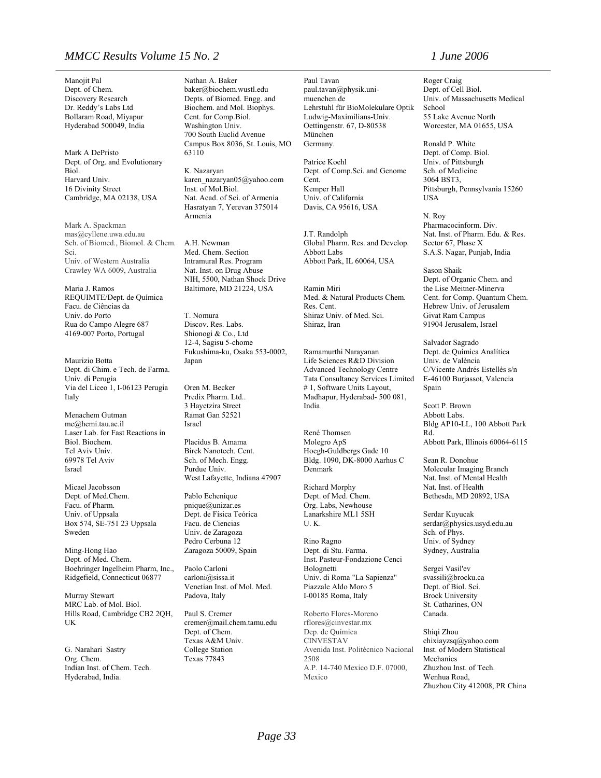### *MMCC Results Volume 15 No. 2 1 June 2006*

Manojit Pal Dept. of Chem. Discovery Research Dr. Reddy's Labs Ltd Bollaram Road, Miyapur Hyderabad 500049, India

Mark A DePristo Dept. of Org. and Evolutionary Biol. Harvard Univ. 16 Divinity Street Cambridge, MA 02138, USA

Mark A. Spackman [mas@cyllene.uwa.edu.au](mailto:mas@cyllene.uwa.edu.au) Sch. of Biomed., Biomol. & Chem. Sci. Univ. of Western Australia Crawley WA 6009, Australia

Maria J. Ramos REQUIMTE/Dept. de Química Facu. de Ciências da Univ. do Porto Rua do Campo Alegre 687 4169-007 Porto, Portugal

Maurizio Botta Dept. di Chim. e Tech. de Farma. Univ. di Perugia Via del Liceo 1, I-06123 Perugia Italy

Menachem Gutman [me@hemi.tau.ac.il](mailto:me@hemi.tau.ac.il) Laser Lab. for Fast Reactions in Biol. Biochem. Tel Aviv Univ. 69978 Tel Aviv Israel

Micael Jacobsson Dept. of Med.Chem. Facu. of Pharm. Univ. of Uppsala Box 574, SE-751 23 Uppsala Sweden

Ming-Hong Hao Dept. of Med. Chem. Boehringer Ingelheim Pharm, Inc., Ridgefield, Connecticut 06877

Murray Stewart MRC Lab. of Mol. Biol. Hills Road, Cambridge CB2 2QH, UK

G. Narahari Sastry Org. Chem. Indian Inst. of Chem. Tech. Hyderabad, India.

Nathan A. Baker [baker@biochem.wustl.edu](mailto:baker@biochem.wustl.edu) Depts. of Biomed. Engg. and Biochem. and Mol. Biophys. Cent. for Comp.Biol. Washington Univ. 700 South Euclid Avenue Campus Box 8036, St. Louis, MO 63110

K. Nazaryan [karen\\_nazaryan05@yahoo.com](mailto:karen_nazaryan05@yahoo.com) Inst. of Mol.Biol. Nat. Acad. of Sci. of Armenia Hasratyan 7, Yerevan 375014 Armenia

A.H. Newman Med. Chem. Section Intramural Res. Program Nat. Inst. on Drug Abuse NIH, 5500, Nathan Shock Drive Baltimore, MD 21224, USA

T. Nomura Discov. Res. Labs. Shionogi & Co., Ltd 12-4, Sagisu 5-chome Fukushima-ku, Osaka 553-0002, Japan

Oren M. Becker Predix Pharm. Ltd.. 3 Hayetzira Street Ramat Gan 52521 Israel

Placidus B. Amama Birck Nanotech. Cent. Sch. of Mech. Engg. Purdue Univ. West Lafayette, Indiana 47907

Pablo Echenique [pnique@unizar.es](mailto:pnique@unizar.es) Dept. de Física Teórica Facu. de Ciencias Univ. de Zaragoza Pedro Cerbuna 12 Zaragoza 50009, Spain

Paolo Carloni [carloni@sissa.it](mailto:carloni@sissa.it) Venetian Inst. of Mol. Med. Padova, Italy

Paul S. Cremer cremer@mail.chem.tamu.edu Dept. of Chem. Texas A&M Univ. College Station Texas 77843

Paul Tavan [paul.tavan@physik.uni](mailto:paul.tavan@physik.uni-muenchen.de)[muenchen.de](mailto:paul.tavan@physik.uni-muenchen.de)  Lehrstuhl für BioMolekulare Optik Ludwig-Maximilians-Univ. Oettingenstr. 67, D-80538 München Germany.

Patrice Koehl Dept. of Comp.Sci. and Genome Cent. Kemper Hall Univ. of California Davis, CA 95616, USA

J.T. Randolph Global Pharm. Res. and Develop. Abbott Labs Abbott Park, IL 60064, USA

Ramin Miri Med. & Natural Products Chem. Res. Cent. Shiraz Univ. of Med. Sci. Shiraz, Iran

Ramamurthi Narayanan Life Sciences R&D Division Advanced Technology Centre Tata Consultancy Services Limited # 1, Software Units Layout, Madhapur, Hyderabad- 500 081, India

René Thomsen Molegro ApS Hoegh-Guldbergs Gade 10 Bldg. 1090, DK-8000 Aarhus C Denmark

Richard Morphy Dept. of Med. Chem. Org. Labs, Newhouse Lanarkshire ML1 5SH U. K.

Rino Ragno Dept. di Stu. Farma. Inst. Pasteur-Fondazione Cenci Bolognetti Univ. di Roma "La Sapienza" Piazzale Aldo Moro 5 I-00185 Roma, Italy

Roberto Flores-Moreno [rflores@cinvestar.mx](mailto:rflores@cinvestar.mx) Dep. de Química CINVESTAV Avenida Inst. Politécnico Nacional 2508 A.P. 14-740 Mexico D.F. 07000, Mexico

Roger Craig Dept. of Cell Biol. Univ. of Massachusetts Medical School 55 Lake Avenue North Worcester, MA 01655, USA

[Ronald P. White](http://scitation.aip.org/vsearch/servlet/VerityServlet?KEY=ALL&possible1=White%2C+Ronald+P.&possible1zone=author&maxdisp=25&smode=strresults&aqs=true) Dept. of Comp. Biol. Univ. of Pittsburgh Sch. of Medicine 3064 BST3, Pittsburgh, Pennsylvania 15260 **IISA** 

N. Roy Pharmacocinform. Div. Nat. Inst. of Pharm. Edu. & Res. Sector 67, Phase X S.A.S. Nagar, Punjab, India

Sason Shaik Dept. of Organic Chem. and the Lise Meitner-Minerva Cent. for Comp. Quantum Chem. Hebrew Univ. of Jerusalem Givat Ram Campus 91904 Jerusalem, Israel

Salvador Sagrado Dept. de Química Analítica Univ. de València C/Vicente Andrés Estellés s/n E-46100 Burjassot, Valencia Spain

Scott P. Brown Abbott Labs. Bldg AP10-LL, 100 Abbott Park Rd. Abbott Park, Illinois 60064-6115

Sean R. Donohue Molecular Imaging Branch Nat. Inst. of Mental Health Nat. Inst. of Health Bethesda, MD 20892, USA

Serdar Kuyucak [serdar@physics.usyd.edu.au](mailto:serdar@physics.usyd.edu.au) Sch. of Phys. Univ. of Sydney Sydney, Australia

Sergei Vasil'ev [svassili@brocku.ca](mailto:svassili@brocku.ca)  Dept. of Biol. Sci. Brock University St. Catharines, ON Canada.

Shiqi Zhou [chixiayzsq@yahoo.com](mailto:chixiayzsq@yahoo.com) Inst. of Modern Statistical Mechanics Zhuzhou Inst. of Tech. Wenhua Road, Zhuzhou City 412008, PR China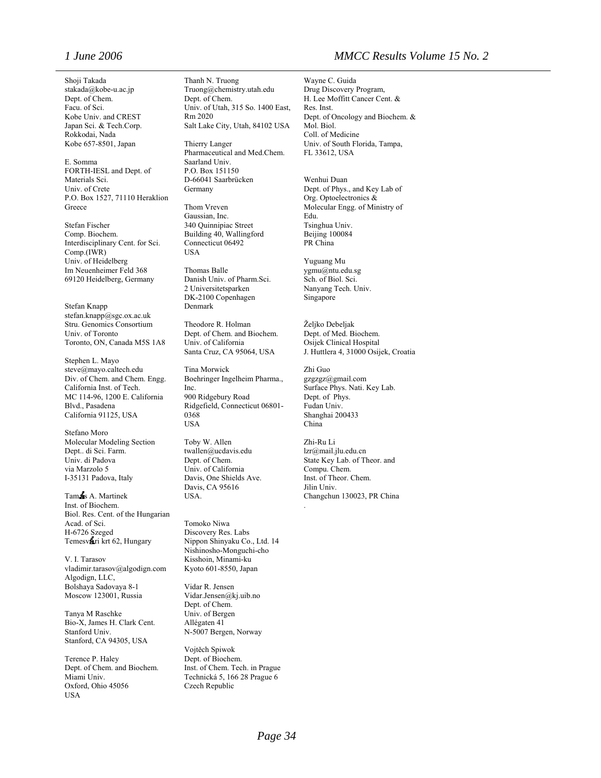Dept. of Chem. Facu. of Sci. Kobe Univ. and CREST Japan Sci. & Tech.Corp. Kobe 657-8501, Japan Thierry Langer

[E. Somma](http://scitation.aip.org/vsearch/servlet/VerityServlet?KEY=ALL&possible1=Somma%2C+E.&possible1zone=author&maxdisp=25&smode=strresults&aqs=true) Saarland Univ. FORTH-IESL and Dept. of Materials Sci. Univ. of Crete Germany Germany Dept. of Phys., and Key Lab of P.O. Box 1527, 71110 Heraklion Greece Thom Vreven Molecular Engg. of Ministry of Greece

Stefan Fischer 340 Quinnipiac Street Tsinghua Univ. Interdisciplinary Cent. for Sci. Comp.(IWR) Vuguang Mu<br>
Im Neuenheimer Feld 368 Thomas Balle (International Sygmu@ntu.edu.sg) Im Neuenheimer Feld 368 69120 Heidelberg, Germany Danish Univ. of Pharm.Sci. Sch. of Biol. Sci.

Stefan Knapp [stefan.knapp@sgc.ox.ac.uk](mailto:stefan.knapp@sgc.ox.ac.uk)  Stru. Genomics Consortium Theodore R. Holman Željko Debeljak<br>
Univ. of Toronto Dept. of Chem. and Biochem. Dept. of Med. Biochem. Toronto, ON, Canada M5S 1A8 Univ. of California Osijek Clinical Hospital

Stephen L. Mayo Div. of Chem. and Chem. Engg. Boehringer Ingelheim Pharma., California Inst. of Tech. Inc. MC 114-96, 1200 E. California Blvd., Pasadena California 91125, USA 0368

Stefano Moro Molecular Modeling Section Toby W. Allen Zhi-Ru Li Dept.. di Sci. Farm. [twallen@ucdavis.edu](mailto:twallen@ucdavis.edu) [lzr@mail.jlu.edu.cn](mailto:lzr@mail.jlu.edu.cn) Univ. di Padova<br>via Marzolo 5 I-35131 Padova, Italy Davis, One Shields Ave. Inst. of Theor. Chem.

Tam S A. Martinek USA. Changchun 130023, PR China Inst. of Biochem. . Biol. Res. Cent. of the Hungarian Acad. of Sci. Tomoko Niwa H-6726 Szeged Discovery Res. Labs Temesvari krt 62, Hungary Nippon Shinyaku Co., Ltd. 14

V. I. Tarasov (@algodign.com Kisshoin, Minami-ku vladimir.tarasov (@algodign.com Kyoto 601-8550, Japan [vladimir.tarasov@algodign.com](mailto:vladimir.tarasov@algodign.com) Algodign, LLC, Bolshaya Sadovaya 8-1 Vidar R. Jensen Moscow 123001, Russia Vidar.Jensen@kj.uib.no

Tanya M Raschke Univ. of Bergen Bio-X, James H. Clark Cent. Allégaten 41 Stanford Univ. N-5007 Bergen, Norway Stanford, CA 94305, USA

[Terence P. Haley](http://scitation.aip.org/vsearch/servlet/VerityServlet?KEY=ALL&possible1=Haley%2C+Terence+P.&possible1zone=author&maxdisp=25&smode=strresults&aqs=true) Dept. of Biochem. Oxford, Ohio 45056 Czech Republic **USA** 

Shoji Takada Thanh N. Truong Wayne C. Guida<br>stakada@kobe-u.ac.jp Truong@chemistry.utah.edu Drug Discovery Program, [stakada@kobe-u.ac.jp](mailto:stakada@kobe-u.ac.jp) [Truong@chemistry.utah.edu](mailto:Truong@chemistry.utah.edu) Dept. of Chem.<br>
Dept. of Chem. Univ. of Utah, 315 So. 1400 East, Rm 2020 Salt Lake City, Utah, 84102 USA

> Pharmaceutical and Med.Chem. P.O. Box 151150 D-66041 Saarbrücken Wenhui Duan Germany

Thom Vreven Gaussian, Inc. Building 40, Wallingford Connecticut 06492 PR China USA

2 Universitetsparken Nanyang Tech. Univ. DK-2100 Copenhagen Singapore<br>Denmark

Dept. of Chem. and Biochem.

[steve@mayo.caltech.edu](mailto:steve@mayo.caltech.edu) Tina Morwick Zhi Guo<br>Div. of Chem. and Chem. Engg. Boehringer Ingelheim Pharma., gzgzgz@gmail.com Inc. Surface Phys. Nati. Key Lab. 900 Ridgebury Road Dept. of Phys. Ridgefield, Connecticut 06801- USA China

> Univ. of California Davis, CA 95616 Jilin Univ.

Nishinosho-Monguchi-cho

Dept. of Chem.

Vojtěch Spiwok Dept. of Chem. and Biochem. Inst. of Chem. Tech. in Prague Technická 5, 166 28 Prague 6

*1 June 2006 MMCC Results Volume 15 No. 2* 

H. Lee Moffitt Cancer Cent. & Res. Inst. Dept. of Oncology and Biochem. & Mol. Biol. Coll. of Medicine Univ. of South Florida, Tampa, FL 33612, USA

Org. Optoelectronics & Edu.

Santa Cruz, CA 95064, USA J. Huttlera 4, 31000 Osijek, Croatia

Fudan Univ. Shanghai 200433

State Key Lab. of Theor. and Compu. Chem.